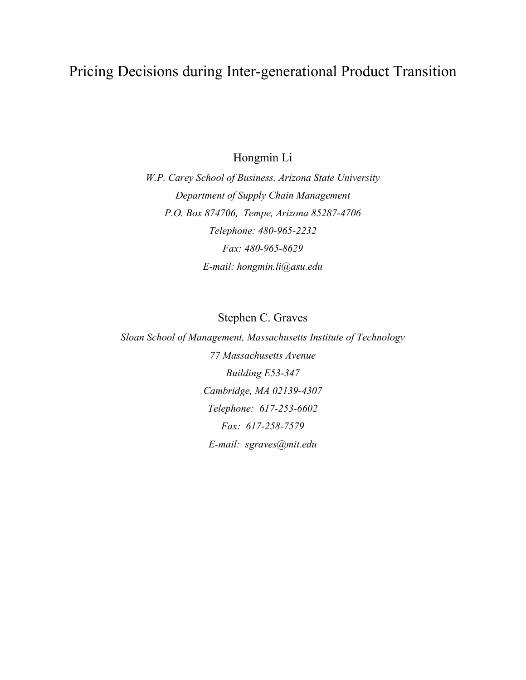# Pricing Decisions during Inter-generational Product Transition

Hongmin Li

*W.P. Carey School of Business, Arizona State University Department of Supply Chain Management P.O. Box 874706, Tempe, Arizona 85287-4706 Telephone: 480-965-2232 Fax: 480-965-8629 E-mail: hongmin.li@asu.edu* 

Stephen C. Graves

*Sloan School of Management, Massachusetts Institute of Technology 77 Massachusetts Avenue Building E53-347 Cambridge, MA 02139-4307 Telephone: 617-253-6602 Fax: 617-258-7579 E-mail: sgraves@mit.edu*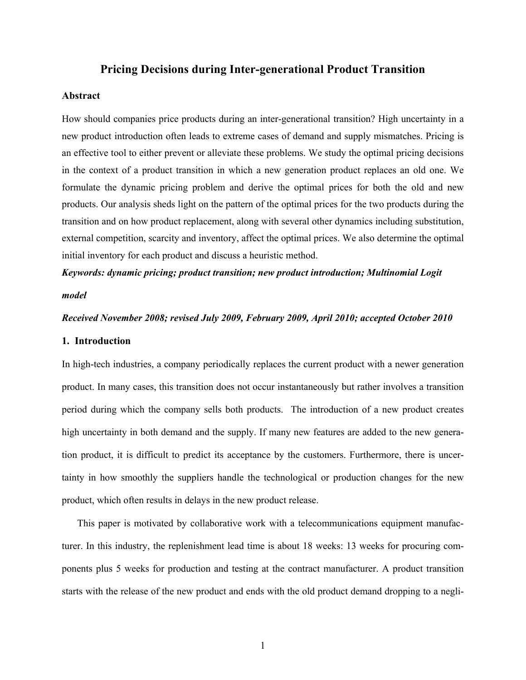## **Pricing Decisions during Inter-generational Product Transition**

#### **Abstract**

How should companies price products during an inter-generational transition? High uncertainty in a new product introduction often leads to extreme cases of demand and supply mismatches. Pricing is an effective tool to either prevent or alleviate these problems. We study the optimal pricing decisions in the context of a product transition in which a new generation product replaces an old one. We formulate the dynamic pricing problem and derive the optimal prices for both the old and new products. Our analysis sheds light on the pattern of the optimal prices for the two products during the transition and on how product replacement, along with several other dynamics including substitution, external competition, scarcity and inventory, affect the optimal prices. We also determine the optimal initial inventory for each product and discuss a heuristic method.

# *Keywords: dynamic pricing; product transition; new product introduction; Multinomial Logit model*

#### *Received November 2008; revised July 2009, February 2009, April 2010; accepted October 2010*

#### **1. Introduction**

In high-tech industries, a company periodically replaces the current product with a newer generation product. In many cases, this transition does not occur instantaneously but rather involves a transition period during which the company sells both products. The introduction of a new product creates high uncertainty in both demand and the supply. If many new features are added to the new generation product, it is difficult to predict its acceptance by the customers. Furthermore, there is uncertainty in how smoothly the suppliers handle the technological or production changes for the new product, which often results in delays in the new product release.

This paper is motivated by collaborative work with a telecommunications equipment manufacturer. In this industry, the replenishment lead time is about 18 weeks: 13 weeks for procuring components plus 5 weeks for production and testing at the contract manufacturer. A product transition starts with the release of the new product and ends with the old product demand dropping to a negli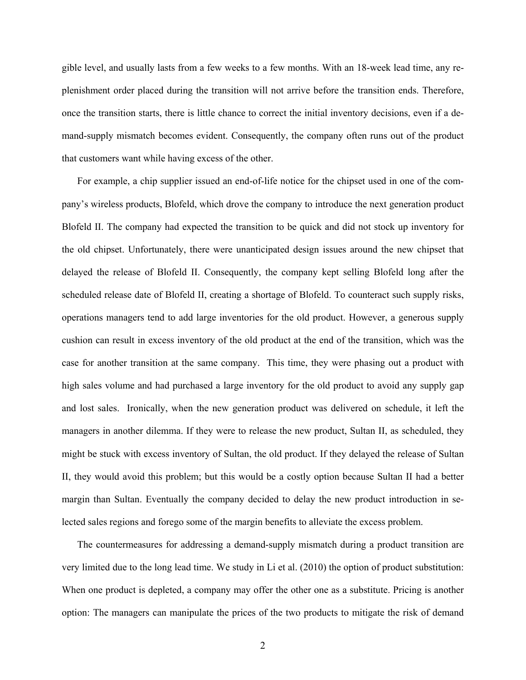gible level, and usually lasts from a few weeks to a few months. With an 18-week lead time, any replenishment order placed during the transition will not arrive before the transition ends. Therefore, once the transition starts, there is little chance to correct the initial inventory decisions, even if a demand-supply mismatch becomes evident. Consequently, the company often runs out of the product that customers want while having excess of the other.

For example, a chip supplier issued an end-of-life notice for the chipset used in one of the company's wireless products, Blofeld, which drove the company to introduce the next generation product Blofeld II. The company had expected the transition to be quick and did not stock up inventory for the old chipset. Unfortunately, there were unanticipated design issues around the new chipset that delayed the release of Blofeld II. Consequently, the company kept selling Blofeld long after the scheduled release date of Blofeld II, creating a shortage of Blofeld. To counteract such supply risks, operations managers tend to add large inventories for the old product. However, a generous supply cushion can result in excess inventory of the old product at the end of the transition, which was the case for another transition at the same company. This time, they were phasing out a product with high sales volume and had purchased a large inventory for the old product to avoid any supply gap and lost sales. Ironically, when the new generation product was delivered on schedule, it left the managers in another dilemma. If they were to release the new product, Sultan II, as scheduled, they might be stuck with excess inventory of Sultan, the old product. If they delayed the release of Sultan II, they would avoid this problem; but this would be a costly option because Sultan II had a better margin than Sultan. Eventually the company decided to delay the new product introduction in selected sales regions and forego some of the margin benefits to alleviate the excess problem.

The countermeasures for addressing a demand-supply mismatch during a product transition are very limited due to the long lead time. We study in Li et al. (2010) the option of product substitution: When one product is depleted, a company may offer the other one as a substitute. Pricing is another option: The managers can manipulate the prices of the two products to mitigate the risk of demand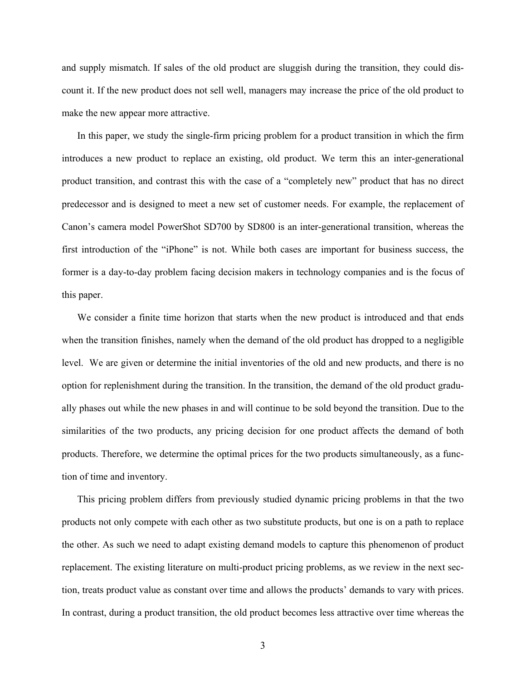and supply mismatch. If sales of the old product are sluggish during the transition, they could discount it. If the new product does not sell well, managers may increase the price of the old product to make the new appear more attractive.

In this paper, we study the single-firm pricing problem for a product transition in which the firm introduces a new product to replace an existing, old product. We term this an inter-generational product transition, and contrast this with the case of a "completely new" product that has no direct predecessor and is designed to meet a new set of customer needs. For example, the replacement of Canon's camera model PowerShot SD700 by SD800 is an inter-generational transition, whereas the first introduction of the "iPhone" is not. While both cases are important for business success, the former is a day-to-day problem facing decision makers in technology companies and is the focus of this paper.

We consider a finite time horizon that starts when the new product is introduced and that ends when the transition finishes, namely when the demand of the old product has dropped to a negligible level. We are given or determine the initial inventories of the old and new products, and there is no option for replenishment during the transition. In the transition, the demand of the old product gradually phases out while the new phases in and will continue to be sold beyond the transition. Due to the similarities of the two products, any pricing decision for one product affects the demand of both products. Therefore, we determine the optimal prices for the two products simultaneously, as a function of time and inventory.

This pricing problem differs from previously studied dynamic pricing problems in that the two products not only compete with each other as two substitute products, but one is on a path to replace the other. As such we need to adapt existing demand models to capture this phenomenon of product replacement. The existing literature on multi-product pricing problems, as we review in the next section, treats product value as constant over time and allows the products' demands to vary with prices. In contrast, during a product transition, the old product becomes less attractive over time whereas the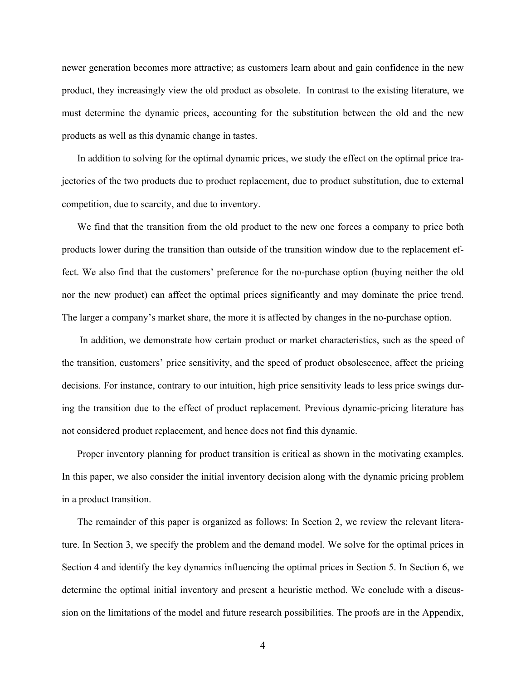newer generation becomes more attractive; as customers learn about and gain confidence in the new product, they increasingly view the old product as obsolete. In contrast to the existing literature, we must determine the dynamic prices, accounting for the substitution between the old and the new products as well as this dynamic change in tastes.

In addition to solving for the optimal dynamic prices, we study the effect on the optimal price trajectories of the two products due to product replacement, due to product substitution, due to external competition, due to scarcity, and due to inventory.

We find that the transition from the old product to the new one forces a company to price both products lower during the transition than outside of the transition window due to the replacement effect. We also find that the customers' preference for the no-purchase option (buying neither the old nor the new product) can affect the optimal prices significantly and may dominate the price trend. The larger a company's market share, the more it is affected by changes in the no-purchase option.

 In addition, we demonstrate how certain product or market characteristics, such as the speed of the transition, customers' price sensitivity, and the speed of product obsolescence, affect the pricing decisions. For instance, contrary to our intuition, high price sensitivity leads to less price swings during the transition due to the effect of product replacement. Previous dynamic-pricing literature has not considered product replacement, and hence does not find this dynamic.

Proper inventory planning for product transition is critical as shown in the motivating examples. In this paper, we also consider the initial inventory decision along with the dynamic pricing problem in a product transition.

The remainder of this paper is organized as follows: In Section 2, we review the relevant literature. In Section 3, we specify the problem and the demand model. We solve for the optimal prices in Section 4 and identify the key dynamics influencing the optimal prices in Section 5. In Section 6, we determine the optimal initial inventory and present a heuristic method. We conclude with a discussion on the limitations of the model and future research possibilities. The proofs are in the Appendix,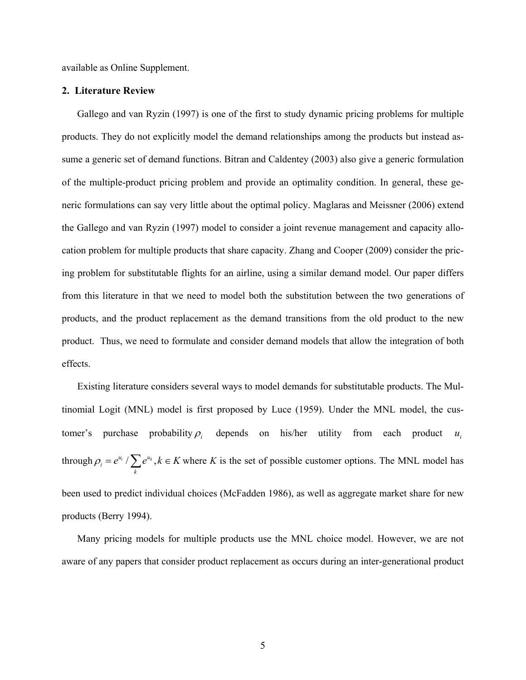available as Online Supplement.

#### **2. Literature Review**

Gallego and van Ryzin (1997) is one of the first to study dynamic pricing problems for multiple products. They do not explicitly model the demand relationships among the products but instead assume a generic set of demand functions. Bitran and Caldentey (2003) also give a generic formulation of the multiple-product pricing problem and provide an optimality condition. In general, these generic formulations can say very little about the optimal policy. Maglaras and Meissner (2006) extend the Gallego and van Ryzin (1997) model to consider a joint revenue management and capacity allocation problem for multiple products that share capacity. Zhang and Cooper (2009) consider the pricing problem for substitutable flights for an airline, using a similar demand model. Our paper differs from this literature in that we need to model both the substitution between the two generations of products, and the product replacement as the demand transitions from the old product to the new product. Thus, we need to formulate and consider demand models that allow the integration of both effects.

Existing literature considers several ways to model demands for substitutable products. The Multinomial Logit (MNL) model is first proposed by Luce (1959). Under the MNL model, the customer's purchase probability <sup>ρ</sup>*i* depends on his/her utility from each product through  $\rho_i = e^{u_i}/\sum e^{u_k}$ ,  $k \in K$  where K is the set of possible customer options. The MNL model has been used to predict individual choices (McFadden 1986), as well as aggregate market share for new products (Berry 1994).  $u_i$ *k*  $\rho_i = e^{u_i} / \sum e^{u_k}, k \in$ 

Many pricing models for multiple products use the MNL choice model. However, we are not aware of any papers that consider product replacement as occurs during an inter-generational product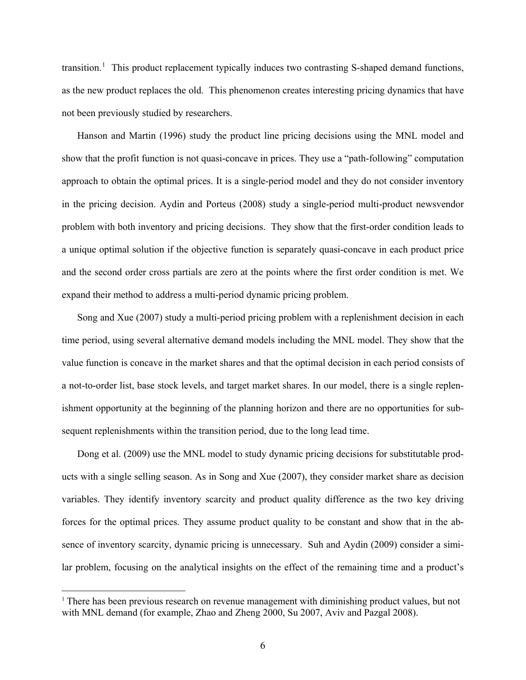transition.<sup>[1](#page-6-0)</sup> This product replacement typically induces two contrasting S-shaped demand functions, as the new product replaces the old. This phenomenon creates interesting pricing dynamics that have not been previously studied by researchers.

Hanson and Martin (1996) study the product line pricing decisions using the MNL model and show that the profit function is not quasi-concave in prices. They use a "path-following" computation approach to obtain the optimal prices. It is a single-period model and they do not consider inventory in the pricing decision. Aydin and Porteus (2008) study a single-period multi-product newsvendor problem with both inventory and pricing decisions. They show that the first-order condition leads to a unique optimal solution if the objective function is separately quasi-concave in each product price and the second order cross partials are zero at the points where the first order condition is met. We expand their method to address a multi-period dynamic pricing problem.

Song and Xue (2007) study a multi-period pricing problem with a replenishment decision in each time period, using several alternative demand models including the MNL model. They show that the value function is concave in the market shares and that the optimal decision in each period consists of a not-to-order list, base stock levels, and target market shares. In our model, there is a single replenishment opportunity at the beginning of the planning horizon and there are no opportunities for subsequent replenishments within the transition period, due to the long lead time.

Dong et al. (2009) use the MNL model to study dynamic pricing decisions for substitutable products with a single selling season. As in Song and Xue (2007), they consider market share as decision variables. They identify inventory scarcity and product quality difference as the two key driving forces for the optimal prices. They assume product quality to be constant and show that in the absence of inventory scarcity, dynamic pricing is unnecessary. Suh and Aydin (2009) consider a similar problem, focusing on the analytical insights on the effect of the remaining time and a product's

i

<span id="page-6-0"></span><sup>&</sup>lt;sup>1</sup> There has been previous research on revenue management with diminishing product values, but not with MNL demand (for example, Zhao and Zheng 2000, Su 2007, Aviv and Pazgal 2008).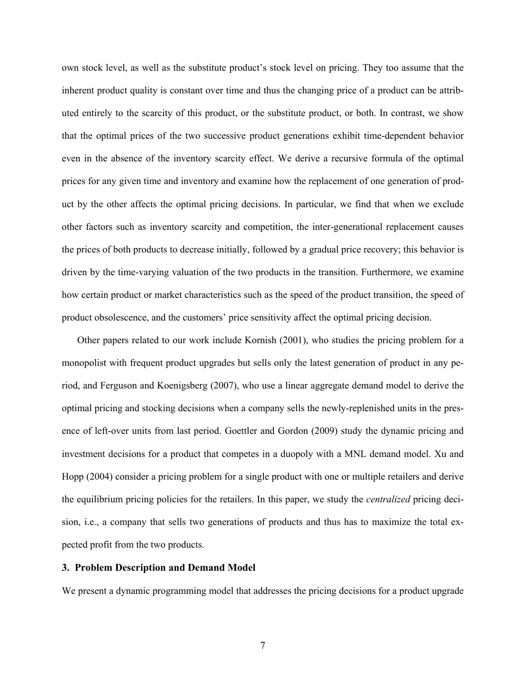own stock level, as well as the substitute product's stock level on pricing. They too assume that the inherent product quality is constant over time and thus the changing price of a product can be attributed entirely to the scarcity of this product, or the substitute product, or both. In contrast, we show that the optimal prices of the two successive product generations exhibit time-dependent behavior even in the absence of the inventory scarcity effect. We derive a recursive formula of the optimal prices for any given time and inventory and examine how the replacement of one generation of product by the other affects the optimal pricing decisions. In particular, we find that when we exclude other factors such as inventory scarcity and competition, the inter-generational replacement causes the prices of both products to decrease initially, followed by a gradual price recovery; this behavior is driven by the time-varying valuation of the two products in the transition. Furthermore, we examine how certain product or market characteristics such as the speed of the product transition, the speed of product obsolescence, and the customers' price sensitivity affect the optimal pricing decision.

Other papers related to our work include Kornish (2001), who studies the pricing problem for a monopolist with frequent product upgrades but sells only the latest generation of product in any period, and Ferguson and Koenigsberg (2007), who use a linear aggregate demand model to derive the optimal pricing and stocking decisions when a company sells the newly-replenished units in the presence of left-over units from last period. Goettler and Gordon (2009) study the dynamic pricing and investment decisions for a product that competes in a duopoly with a MNL demand model. Xu and Hopp (2004) consider a pricing problem for a single product with one or multiple retailers and derive the equilibrium pricing policies for the retailers. In this paper, we study the *centralized* pricing decision, i.e., a company that sells two generations of products and thus has to maximize the total expected profit from the two products.

#### **3. Problem Description and Demand Model**

We present a dynamic programming model that addresses the pricing decisions for a product upgrade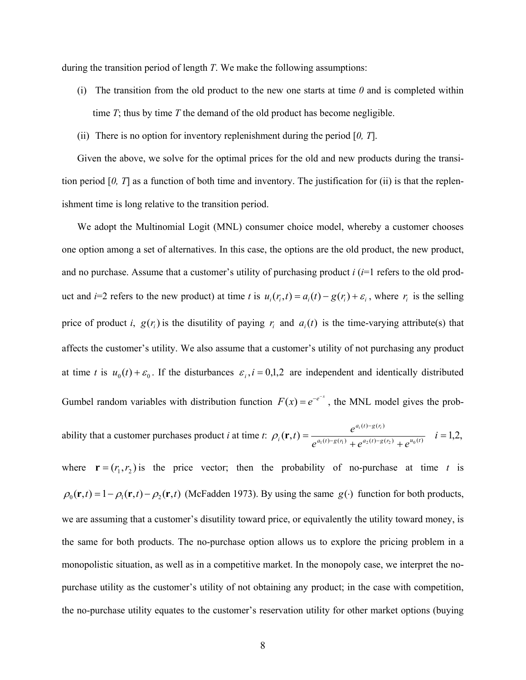during the transition period of length *T*. We make the following assumptions:

- (i) The transition from the old product to the new one starts at time *0* and is completed within time *T*; thus by time *T* the demand of the old product has become negligible.
- (ii) There is no option for inventory replenishment during the period [*0, T*].

Given the above, we solve for the optimal prices for the old and new products during the transition period  $[0, T]$  as a function of both time and inventory. The justification for (ii) is that the replenishment time is long relative to the transition period.

We adopt the Multinomial Logit (MNL) consumer choice model, whereby a customer chooses one option among a set of alternatives. In this case, the options are the old product, the new product, and no purchase. Assume that a customer's utility of purchasing product *i* (*i*=1 refers to the old product and *i*=2 refers to the new product) at time *t* is  $u_i(r_i, t) = a_i(t) - g(r_i) + \varepsilon_i$ , where  $r_i$  is the selling price of product *i*,  $g(r_i)$  is the disutility of paying  $r_i$  and  $a_i(t)$  is the time-varying attribute(s) that affects the customer's utility. We also assume that a customer's utility of not purchasing any product at time *t* is  $u_0(t) + \varepsilon_0$ . If the disturbances  $\varepsilon_i$ ,  $i = 0,1,2$  are independent and identically distributed Gumbel random variables with distribution function  $F(x) = e^{-e^{-x}}$ , the MNL model gives the prob-

ability that a customer purchases product *i* at time *t*: 
$$
\rho_i(\mathbf{r}, t) = \frac{e^{a_i(t) - g(r_i)}}{e^{a_1(t) - g(r_1)} + e^{a_2(t) - g(r_2)} + e^{u_0(t)}} \quad i = 1, 2,
$$

where  $\mathbf{r} = (r_1, r_2)$  is the price vector; then the probability of no-purchase at time *t* is  $\rho_0(\mathbf{r},t) = 1 - \rho_1(\mathbf{r},t) - \rho_2(\mathbf{r},t)$  (McFadden 1973). By using the same  $g(\cdot)$  function for both products, we are assuming that a customer's disutility toward price, or equivalently the utility toward money, is the same for both products. The no-purchase option allows us to explore the pricing problem in a monopolistic situation, as well as in a competitive market. In the monopoly case, we interpret the nopurchase utility as the customer's utility of not obtaining any product; in the case with competition, the no-purchase utility equates to the customer's reservation utility for other market options (buying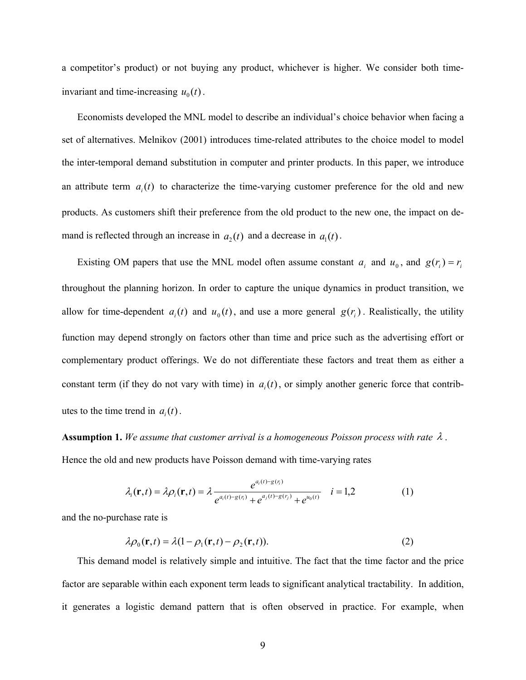a competitor's product) or not buying any product, whichever is higher. We consider both timeinvariant and time-increasing  $u_0(t)$ .

Economists developed the MNL model to describe an individual's choice behavior when facing a set of alternatives. Melnikov (2001) introduces time-related attributes to the choice model to model the inter-temporal demand substitution in computer and printer products. In this paper, we introduce an attribute term  $a_i(t)$  to characterize the time-varying customer preference for the old and new products. As customers shift their preference from the old product to the new one, the impact on demand is reflected through an increase in  $a_2(t)$  and a decrease in  $a_1(t)$ .

Existing OM papers that use the MNL model often assume constant  $a_i$  and  $u_0$ , and  $g(r_i) = r_i$ throughout the planning horizon. In order to capture the unique dynamics in product transition, we allow for time-dependent  $a_i(t)$  and  $u_0(t)$ , and use a more general  $g(r_i)$ . Realistically, the utility function may depend strongly on factors other than time and price such as the advertising effort or complementary product offerings. We do not differentiate these factors and treat them as either a constant term (if they do not vary with time) in  $a_i(t)$ , or simply another generic force that contributes to the time trend in  $a_i(t)$ .

**Assumption 1.** *We assume that customer arrival is a homogeneous Poisson process with rate* λ . Hence the old and new products have Poisson demand with time-varying rates

$$
\lambda_i(\mathbf{r},t) = \lambda \rho_i(\mathbf{r},t) = \lambda \frac{e^{a_i(t) - g(r_i)}}{e^{a_i(t) - g(r_i)} + e^{a_j(t) - g(r_j)} + e^{u_0(t)}} \quad i = 1,2
$$
\n(1)

and the no-purchase rate is

$$
\lambda \rho_0(\mathbf{r},t) = \lambda (1 - \rho_1(\mathbf{r},t) - \rho_2(\mathbf{r},t)).
$$
\n(2)

This demand model is relatively simple and intuitive. The fact that the time factor and the price factor are separable within each exponent term leads to significant analytical tractability. In addition, it generates a logistic demand pattern that is often observed in practice. For example, when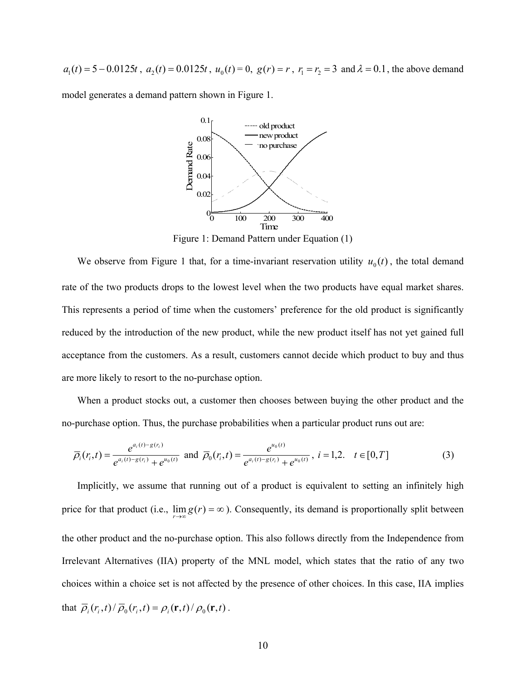$a_1(t) = 5 - 0.0125t$ ,  $a_2(t) = 0.0125t$ ,  $u_0(t) = 0$ ,  $g(r) = r$ ,  $r_1 = r_2 = 3$  and  $\lambda = 0.1$ , the above demand

model generates a demand pattern shown in Figure 1.



Figure 1: Demand Pattern under Equation (1)

We observe from Figure 1 that, for a time-invariant reservation utility  $u_0(t)$ , the total demand rate of the two products drops to the lowest level when the two products have equal market shares. This represents a period of time when the customers' preference for the old product is significantly reduced by the introduction of the new product, while the new product itself has not yet gained full acceptance from the customers. As a result, customers cannot decide which product to buy and thus are more likely to resort to the no-purchase option.

When a product stocks out, a customer then chooses between buying the other product and the no-purchase option. Thus, the purchase probabilities when a particular product runs out are:

$$
\overline{\rho}_i(r_i,t) = \frac{e^{a_i(t) - g(r_i)}}{e^{a_i(t) - g(r_i)} + e^{u_0(t)}} \text{ and } \overline{\rho}_0(r_i,t) = \frac{e^{u_0(t)}}{e^{a_i(t) - g(r_i)} + e^{u_0(t)}}, \ i = 1,2, \quad t \in [0,T] \tag{3}
$$

Implicitly, we assume that running out of a product is equivalent to setting an infinitely high price for that product (i.e.,  $\lim_{r\to\infty} g(r) = \infty$ ). Consequently, its demand is proportionally split between the other product and the no-purchase option. This also follows directly from the Independence from Irrelevant Alternatives (IIA) property of the MNL model, which states that the ratio of any two choices within a choice set is not affected by the presence of other choices. In this case, IIA implies that  $\overline{\rho}_i(r_i,t)/\overline{\rho}_0(r_i,t) = \rho_i(\mathbf{r},t)/\rho_0(\mathbf{r},t)$ .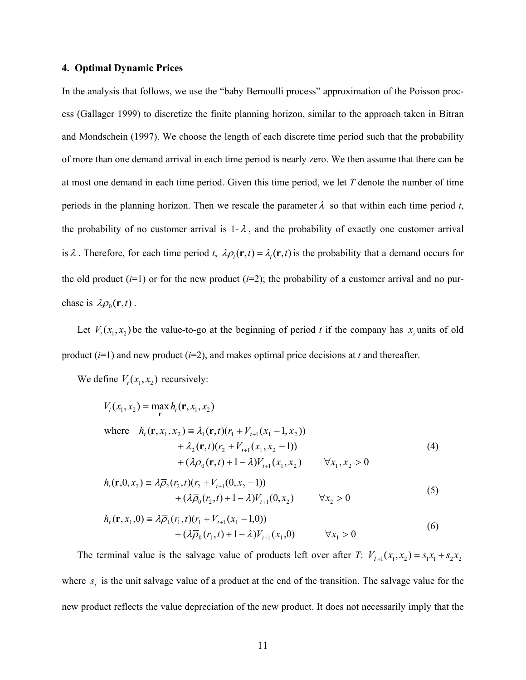#### **4. Optimal Dynamic Prices**

In the analysis that follows, we use the "baby Bernoulli process" approximation of the Poisson process (Gallager 1999) to discretize the finite planning horizon, similar to the approach taken in Bitran and Mondschein (1997). We choose the length of each discrete time period such that the probability of more than one demand arrival in each time period is nearly zero. We then assume that there can be at most one demand in each time period. Given this time period, we let *T* denote the number of time periods in the planning horizon. Then we rescale the parameter  $\lambda$  so that within each time period  $t$ , the probability of no customer arrival is  $1-\lambda$ , and the probability of exactly one customer arrival is  $\lambda$ . Therefore, for each time period *t*,  $\lambda \rho_i(\mathbf{r},t) = \lambda_i(\mathbf{r},t)$  is the probability that a demand occurs for the old product  $(i=1)$  or for the new product  $(i=2)$ ; the probability of a customer arrival and no purchase is  $\lambda \rho_0(\mathbf{r},t)$ .

Let  $V_t(x_1, x_2)$  be the value-to-go at the beginning of period *t* if the company has  $x_i$  units of old product  $(i=1)$  and new product  $(i=2)$ , and makes optimal price decisions at *t* and thereafter.

We define  $V_t(x_1, x_2)$  recursively:

$$
V_{t}(x_{1}, x_{2}) = \max_{\mathbf{r}} h_{t}(\mathbf{r}, x_{1}, x_{2})
$$
  
where  $h_{t}(\mathbf{r}, x_{1}, x_{2}) \equiv \lambda_{1}(\mathbf{r}, t)(r_{1} + V_{t+1}(x_{1} - 1, x_{2}))$   
 $+ \lambda_{2}(\mathbf{r}, t)(r_{2} + V_{t+1}(x_{1}, x_{2} - 1))$   
 $+ (\lambda \rho_{0}(\mathbf{r}, t) + 1 - \lambda)V_{t+1}(x_{1}, x_{2}) \qquad \forall x_{1}, x_{2} > 0$  (4)

$$
h_t(\mathbf{r}, 0, x_2) = \lambda \overline{\rho}_2(r_2, t)(r_2 + V_{t+1}(0, x_2 - 1)) + (\lambda \overline{\rho}_0(r_2, t) + 1 - \lambda) V_{t+1}(0, x_2) \qquad \forall x_2 > 0
$$
\n(5)

$$
h_t(\mathbf{r}, x_1, 0) = \lambda \overline{\rho}_1(r_1, t)(r_1 + V_{t+1}(x_1 - 1, 0)) + (\lambda \overline{\rho}_0(r_1, t) + 1 - \lambda)V_{t+1}(x_1, 0) \qquad \forall x_1 > 0
$$
\n(6)

The terminal value is the salvage value of products left over after *T*:  $V_{T+1}(x_1, x_2) = s_1 x_1 + s_2 x_2$ where  $s_i$  is the unit salvage value of a product at the end of the transition. The salvage value for the new product reflects the value depreciation of the new product. It does not necessarily imply that the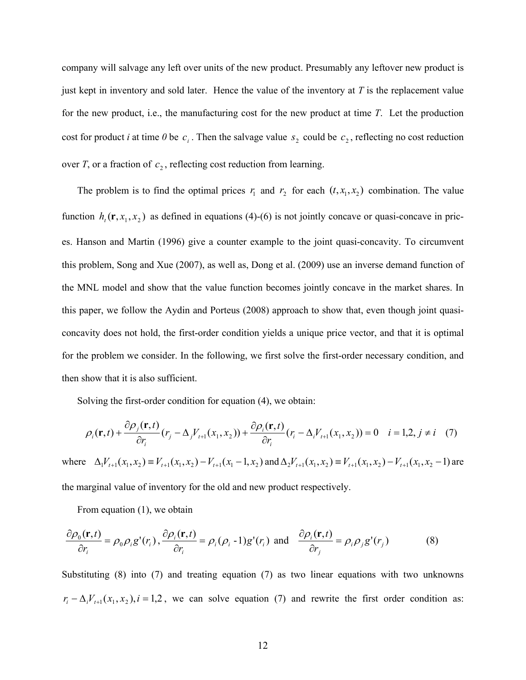company will salvage any left over units of the new product. Presumably any leftover new product is just kept in inventory and sold later. Hence the value of the inventory at *T* is the replacement value for the new product, i.e., the manufacturing cost for the new product at time *T*. Let the production cost for product *i* at time 0 be  $c_i$ . Then the salvage value  $s_2$  could be  $c_2$ , reflecting no cost reduction over *T*, or a fraction of  $c_2$ , reflecting cost reduction from learning.

The problem is to find the optimal prices  $r_1$  and  $r_2$  for each  $(t, x_1, x_2)$  combination. The value function  $h_t$  (**r**,  $x_1$ ,  $x_2$ ) as defined in equations (4)-(6) is not jointly concave or quasi-concave in prices. Hanson and Martin (1996) give a counter example to the joint quasi-concavity. To circumvent this problem, Song and Xue (2007), as well as, Dong et al. (2009) use an inverse demand function of the MNL model and show that the value function becomes jointly concave in the market shares. In this paper, we follow the Aydin and Porteus (2008) approach to show that, even though joint quasiconcavity does not hold, the first-order condition yields a unique price vector, and that it is optimal for the problem we consider. In the following, we first solve the first-order necessary condition, and then show that it is also sufficient.

Solving the first-order condition for equation (4), we obtain:

$$
\rho_i(\mathbf{r},t) + \frac{\partial \rho_j(\mathbf{r},t)}{\partial r_i}(r_j - \Delta_j V_{t+1}(x_1, x_2)) + \frac{\partial \rho_i(\mathbf{r},t)}{\partial r_i}(r_i - \Delta_i V_{t+1}(x_1, x_2)) = 0 \quad i = 1,2, j \neq i \quad (7)
$$

where  $\Delta_1 V_{t+1}(x_1, x_2) \equiv V_{t+1}(x_1, x_2) - V_{t+1}(x_1 - 1, x_2)$  and  $\Delta_2 V_{t+1}(x_1, x_2) \equiv V_{t+1}(x_1, x_2) - V_{t+1}(x_1, x_2 - 1)$  are the marginal value of inventory for the old and new product respectively.

From equation (1), we obtain

$$
\frac{\partial \rho_0(\mathbf{r},t)}{\partial r_i} = \rho_0 \rho_i g'(r_i), \frac{\partial \rho_i(\mathbf{r},t)}{\partial r_i} = \rho_i (\rho_i - 1) g'(r_i) \text{ and } \frac{\partial \rho_i(\mathbf{r},t)}{\partial r_j} = \rho_i \rho_j g'(r_j)
$$
(8)

Substituting (8) into (7) and treating equation (7) as two linear equations with two unknowns  $r_i - \Delta_i V_{i+1}(x_1, x_2)$ ,  $i = 1, 2$ , we can solve equation (7) and rewrite the first order condition as: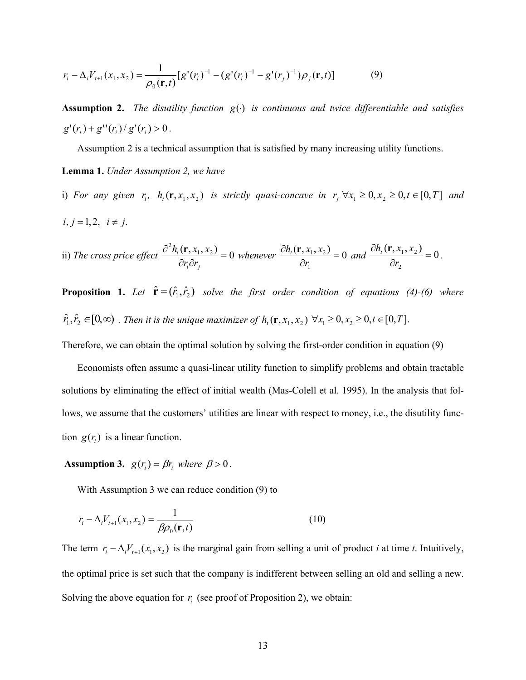$$
r_i - \Delta_i V_{t+1}(x_1, x_2) = \frac{1}{\rho_0(\mathbf{r}, t)} [g'(r_i)^{-1} - (g'(r_i)^{-1} - g'(r_j)^{-1})\rho_j(\mathbf{r}, t)] \tag{9}
$$

**Assumption 2.** *The disutility function*  $g(\cdot)$  *is continuous and twice differentiable and satisfies*  $g'(r_i) + g''(r_i)/g'(r_i) > 0$ .

Assumption 2 is a technical assumption that is satisfied by many increasing utility functions.

**Lemma 1.** *Under Assumption 2, we have* 

i) For any given  $r_i$ ,  $h_i(\mathbf{r}, x_1, x_2)$  is strictly quasi-concave in  $r_j \,\forall x_1 \geq 0, x_2 \geq 0, t \in [0, T]$  and  $i, j = 1, 2, i \neq j.$ 

ii) The cross price effect 
$$
\frac{\partial^2 h_t(\mathbf{r}, x_1, x_2)}{\partial r_i \partial r_j} = 0 \text{ whenever } \frac{\partial h_t(\mathbf{r}, x_1, x_2)}{\partial r_1} = 0 \text{ and } \frac{\partial h_t(\mathbf{r}, x_1, x_2)}{\partial r_2} = 0.
$$

**Proposition 1.** Let  $\hat{\mathbf{r}} = (\hat{r}_1, \hat{r}_2)$  solve the first order condition of equations (4)-(6) where  $\hat{r}_1, \hat{r}_2 \in [0, \infty)$  . Then it is the unique maximizer of  $h_i(\mathbf{r}, x_1, x_2) \,\,\forall x_1 \geq 0, x_2 \geq 0, t \in [0, T]$ .

Therefore, we can obtain the optimal solution by solving the first-order condition in equation (9)

Economists often assume a quasi-linear utility function to simplify problems and obtain tractable solutions by eliminating the effect of initial wealth (Mas-Colell et al. 1995). In the analysis that follows, we assume that the customers' utilities are linear with respect to money, i.e., the disutility function  $g(r_i)$  is a linear function.

**Assumption 3.**  $g(r_i) = \beta r_i$  where  $\beta > 0$ .

With Assumption 3 we can reduce condition (9) to

$$
r_i - \Delta_i V_{i+1}(x_1, x_2) = \frac{1}{\beta \rho_0(\mathbf{r}, t)}
$$
(10)

The term  $r_i - \Delta_i V_{t+1}(x_1, x_2)$  is the marginal gain from selling a unit of product *i* at time *t*. Intuitively, the optimal price is set such that the company is indifferent between selling an old and selling a new. Solving the above equation for  $r_i$  (see proof of Proposition 2), we obtain: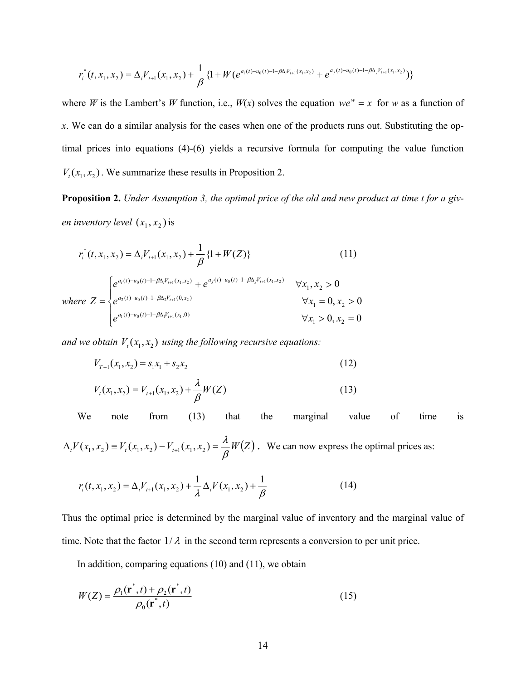$$
r_i^*(t, x_1, x_2) = \Delta_i V_{i+1}(x_1, x_2) + \frac{1}{\beta} \{1 + W(e^{a_i(t) - u_0(t) - 1 - \beta \Delta_i V_{i+1}(x_1, x_2)} + e^{a_j(t) - u_0(t) - 1 - \beta \Delta_j V_{i+1}(x_1, x_2)})\}
$$

where *W* is the Lambert's *W* function, i.e.,  $W(x)$  solves the equation  $we^w = x$  for *w* as a function of *x*. We can do a similar analysis for the cases when one of the products runs out. Substituting the optimal prices into equations (4)-(6) yields a recursive formula for computing the value function  $V_t(x_1, x_2)$ . We summarize these results in Proposition 2.

**Proposition 2.** *Under Assumption 3, the optimal price of the old and new product at time t for a given inventory level*  $(x_1, x_2)$  *is* 

$$
r_i^*(t, x_1, x_2) = \Delta_i V_{t+1}(x_1, x_2) + \frac{1}{\beta} \{1 + W(Z)\}
$$
\n(11)

where 
$$
Z = \begin{cases} e^{a_i(t) - u_0(t) - 1 - \beta \Delta_i V_{t+1}(x_1, x_2)} + e^{a_j(t) - u_0(t) - 1 - \beta \Delta_j V_{t+1}(x_1, x_2)} & \forall x_1, x_2 > 0 \\ e^{a_2(t) - u_0(t) - 1 - \beta \Delta_2 V_{t+1}(0, x_2)} & \forall x_1 = 0, x_2 > 0 \\ e^{a_1(t) - u_0(t) - 1 - \beta \Delta_i V_{t+1}(x_1, 0)} & \forall x_1 > 0, x_2 = 0 \end{cases}
$$

*and we obtain*  $V_1(x_1, x_2)$  *using the following recursive equations:* 

$$
V_{T+1}(x_1, x_2) = s_1 x_1 + s_2 x_2 \tag{12}
$$

$$
V_t(x_1, x_2) = V_{t+1}(x_1, x_2) + \frac{\lambda}{\beta} W(Z)
$$
\n(13)

We note from (13) that the marginal value of time is

 $\Delta_t V(x_1, x_2) = V_t(x_1, x_2) - V_{t+1}(x_1, x_2) = \frac{\lambda}{\beta} W(Z)$ . We can now express the optimal prices as:

$$
r_i(t, x_1, x_2) = \Delta_i V_{i+1}(x_1, x_2) + \frac{1}{\lambda} \Delta_i V(x_1, x_2) + \frac{1}{\beta}
$$
 (14)

Thus the optimal price is determined by the marginal value of inventory and the marginal value of time. Note that the factor  $1/\lambda$  in the second term represents a conversion to per unit price.

In addition, comparing equations (10) and (11), we obtain

$$
W(Z) = \frac{\rho_1(\mathbf{r}^*, t) + \rho_2(\mathbf{r}^*, t)}{\rho_0(\mathbf{r}^*, t)}
$$
(15)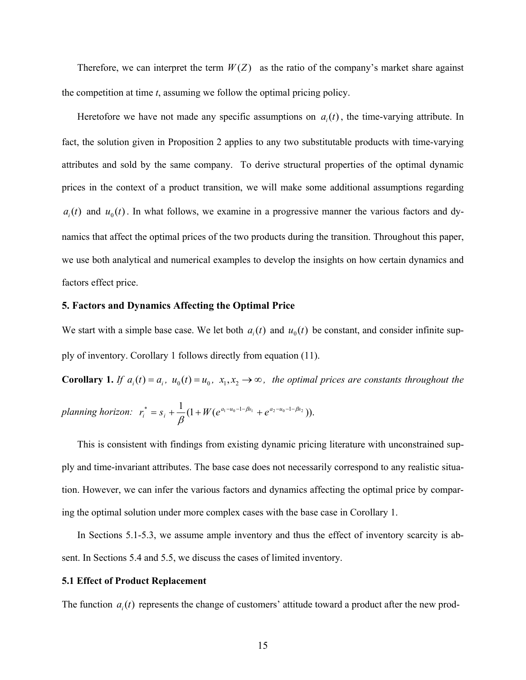Therefore, we can interpret the term  $W(Z)$  as the ratio of the company's market share against the competition at time *t*, assuming we follow the optimal pricing policy.

Heretofore we have not made any specific assumptions on  $a_i(t)$ , the time-varying attribute. In fact, the solution given in Proposition 2 applies to any two substitutable products with time-varying attributes and sold by the same company. To derive structural properties of the optimal dynamic prices in the context of a product transition, we will make some additional assumptions regarding  $a_i(t)$  and  $u_0(t)$ . In what follows, we examine in a progressive manner the various factors and dynamics that affect the optimal prices of the two products during the transition. Throughout this paper, we use both analytical and numerical examples to develop the insights on how certain dynamics and factors effect price.

#### **5. Factors and Dynamics Affecting the Optimal Price**

We start with a simple base case. We let both  $a_i(t)$  and  $u_0(t)$  be constant, and consider infinite supply of inventory. Corollary 1 follows directly from equation (11).

**Corollary 1.** *If*  $a_i(t) = a_i$ ,  $u_0(t) = u_0$ ,  $x_1, x_2 \rightarrow \infty$ , the optimal prices are constants throughout the

$$
planning horizon: \ \ r_i^* = s_i + \frac{1}{\beta}(1 + W(e^{a_1 - u_0 - 1 - \beta s_1} + e^{a_2 - u_0 - 1 - \beta s_2})).
$$

This is consistent with findings from existing dynamic pricing literature with unconstrained supply and time-invariant attributes. The base case does not necessarily correspond to any realistic situation. However, we can infer the various factors and dynamics affecting the optimal price by comparing the optimal solution under more complex cases with the base case in Corollary 1.

In Sections 5.1-5.3, we assume ample inventory and thus the effect of inventory scarcity is absent. In Sections 5.4 and 5.5, we discuss the cases of limited inventory.

#### **5.1 Effect of Product Replacement**

The function  $a<sub>i</sub>(t)$  represents the change of customers' attitude toward a product after the new prod-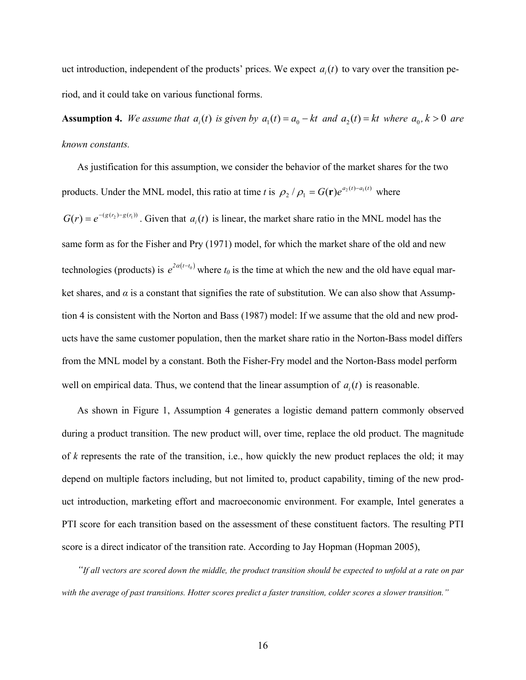uct introduction, independent of the products' prices. We expect  $a_i(t)$  to vary over the transition period, and it could take on various functional forms.

**Assumption 4.** We assume that  $a_i(t)$  is given by  $a_1(t) = a_0 - kt$  and  $a_2(t) = kt$  where  $a_0, k > 0$  are *known constants.* 

As justification for this assumption, we consider the behavior of the market shares for the two products. Under the MNL model, this ratio at time *t* is  $\rho_2 / \rho_1 = G(\mathbf{r})e^{a_2(t) - a_1(t)}$  where

 $G(r) = e^{-(g(r_2) - g(r_1))}$ . Given that  $a_i(t)$  is linear, the market share ratio in the MNL model has the same form as for the Fisher and Pry (1971) model, for which the market share of the old and new technologies (products) is  $e^{2\alpha(t-t_0)}$  where  $t_0$  is the time at which the new and the old have equal market shares, and  $\alpha$  is a constant that signifies the rate of substitution. We can also show that Assumption 4 is consistent with the Norton and Bass (1987) model: If we assume that the old and new products have the same customer population, then the market share ratio in the Norton-Bass model differs from the MNL model by a constant. Both the Fisher-Fry model and the Norton-Bass model perform well on empirical data. Thus, we contend that the linear assumption of  $a_i(t)$  is reasonable.

As shown in Figure 1, Assumption 4 generates a logistic demand pattern commonly observed during a product transition. The new product will, over time, replace the old product. The magnitude of *k* represents the rate of the transition, i.e., how quickly the new product replaces the old; it may depend on multiple factors including, but not limited to, product capability, timing of the new product introduction, marketing effort and macroeconomic environment. For example, Intel generates a PTI score for each transition based on the assessment of these constituent factors. The resulting PTI score is a direct indicator of the transition rate. According to Jay Hopman (Hopman 2005),

*"If all vectors are scored down the middle, the product transition should be expected to unfold at a rate on par with the average of past transitions. Hotter scores predict a faster transition, colder scores a slower transition."*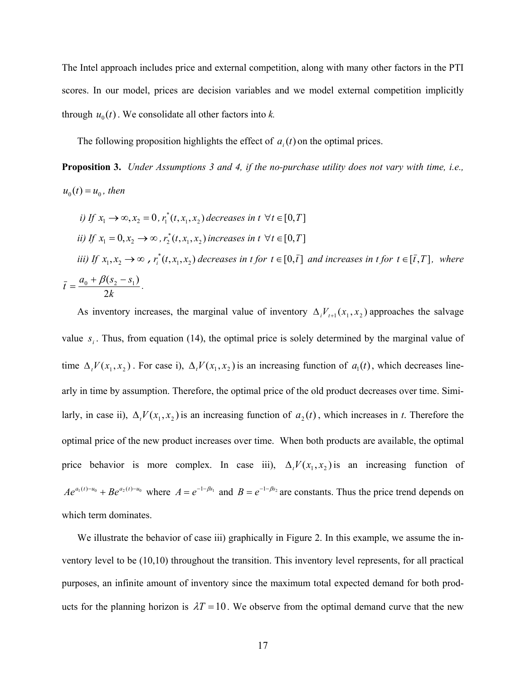The Intel approach includes price and external competition, along with many other factors in the PTI scores. In our model, prices are decision variables and we model external competition implicitly through  $u_0(t)$ . We consolidate all other factors into *k*.

The following proposition highlights the effect of  $a_i(t)$  on the optimal prices.

**Proposition 3.** *Under Assumptions 3 and 4, if the no-purchase utility does not vary with time, i.e.,*   $u_0(t) = u_0$ , then

*i)* If 
$$
x_1 \to \infty
$$
,  $x_2 = 0$ ,  $r_1^*(t, x_1, x_2)$  decreases in  $t \forall t \in [0, T]$   
\n*ii)* If  $x_1 = 0$ ,  $x_2 \to \infty$ ,  $r_2^*(t, x_1, x_2)$  increases in  $t \forall t \in [0, T]$   
\n*iii)* If  $x_1, x_2 \to \infty$ ,  $r_i^*(t, x_1, x_2)$  decreases in  $t$  for  $t \in [0, \bar{t}]$  and increases in  $t$  for  $t \in [\bar{t}, T]$ , where  $\bar{t} = \frac{a_0 + \beta(s_2 - s_1)}{2k}$ .

As inventory increases, the marginal value of inventory  $\Delta_i V_{t+1}(x_1, x_2)$  approaches the salvage value  $s_i$ . Thus, from equation (14), the optimal price is solely determined by the marginal value of time  $\Delta_t V(x_1, x_2)$ . For case i),  $\Delta_t V(x_1, x_2)$  is an increasing function of  $a_1(t)$ , which decreases linearly in time by assumption. Therefore, the optimal price of the old product decreases over time. Similarly, in case ii),  $\Delta_t V(x_1, x_2)$  is an increasing function of  $a_2(t)$ , which increases in *t*. Therefore the optimal price of the new product increases over time. When both products are available, the optimal price behavior is more complex. In case iii),  $\Delta_t V(x_1, x_2)$  is an increasing function of  $Ae^{a_1(t)-a_0} + Be^{a_2(t)-a_0}$  where  $A = e^{-1-\beta s_1}$  and  $B = e^{-1-\beta s_2}$  are constants. Thus the price trend depends on which term dominates.

We illustrate the behavior of case iii) graphically in Figure 2. In this example, we assume the inventory level to be (10,10) throughout the transition. This inventory level represents, for all practical purposes, an infinite amount of inventory since the maximum total expected demand for both products for the planning horizon is  $\lambda T = 10$ . We observe from the optimal demand curve that the new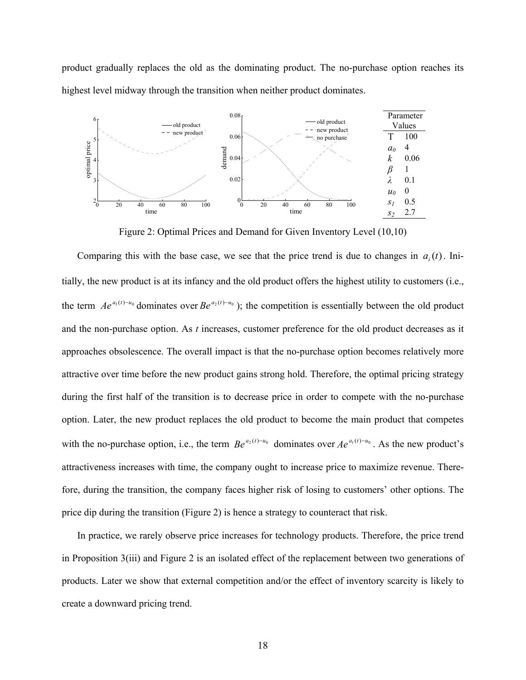product gradually replaces the old as the dominating product. The no-purchase option reaches its highest level midway through the transition when neither product dominates.



Figure 2: Optimal Prices and Demand for Given Inventory Level (10,10)

Comparing this with the base case, we see that the price trend is due to changes in  $a_i(t)$ . Initially, the new product is at its infancy and the old product offers the highest utility to customers (i.e., the term  $Ae^{a_1(t)-a_0}$  dominates over  $Be^{a_2(t)-a_0}$ ); the competition is essentially between the old product and the non-purchase option. As *t* increases, customer preference for the old product decreases as it approaches obsolescence. The overall impact is that the no-purchase option becomes relatively more attractive over time before the new product gains strong hold. Therefore, the optimal pricing strategy during the first half of the transition is to decrease price in order to compete with the no-purchase option. Later, the new product replaces the old product to become the main product that competes with the no-purchase option, i.e., the term  $Be^{a_2(t)-u_0}$  dominates over  $Ae^{a_1(t)-u_0}$ . As the new product's attractiveness increases with time, the company ought to increase price to maximize revenue. Therefore, during the transition, the company faces higher risk of losing to customers' other options. The price dip during the transition (Figure 2) is hence a strategy to counteract that risk.

In practice, we rarely observe price increases for technology products. Therefore, the price trend in Proposition 3(iii) and Figure 2 is an isolated effect of the replacement between two generations of products. Later we show that external competition and/or the effect of inventory scarcity is likely to create a downward pricing trend.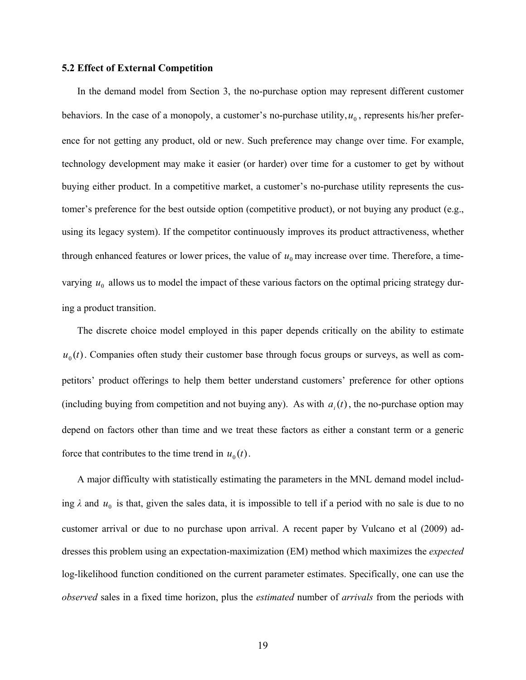#### **5.2 Effect of External Competition**

In the demand model from Section 3, the no-purchase option may represent different customer behaviors. In the case of a monopoly, a customer's no-purchase utility,  $u_0$ , represents his/her preference for not getting any product, old or new. Such preference may change over time. For example, technology development may make it easier (or harder) over time for a customer to get by without buying either product. In a competitive market, a customer's no-purchase utility represents the customer's preference for the best outside option (competitive product), or not buying any product (e.g., using its legacy system). If the competitor continuously improves its product attractiveness, whether through enhanced features or lower prices, the value of  $u_0$  may increase over time. Therefore, a timevarying  $u_0$  allows us to model the impact of these various factors on the optimal pricing strategy during a product transition.

The discrete choice model employed in this paper depends critically on the ability to estimate  $u_0(t)$ . Companies often study their customer base through focus groups or surveys, as well as competitors' product offerings to help them better understand customers' preference for other options (including buying from competition and not buying any). As with  $a_i(t)$ , the no-purchase option may depend on factors other than time and we treat these factors as either a constant term or a generic force that contributes to the time trend in  $u_0(t)$ .

A major difficulty with statistically estimating the parameters in the MNL demand model including  $\lambda$  and  $u_0$  is that, given the sales data, it is impossible to tell if a period with no sale is due to no customer arrival or due to no purchase upon arrival. A recent paper by Vulcano et al (2009) addresses this problem using an expectation-maximization (EM) method which maximizes the *expected* log-likelihood function conditioned on the current parameter estimates. Specifically, one can use the *observed* sales in a fixed time horizon, plus the *estimated* number of *arrivals* from the periods with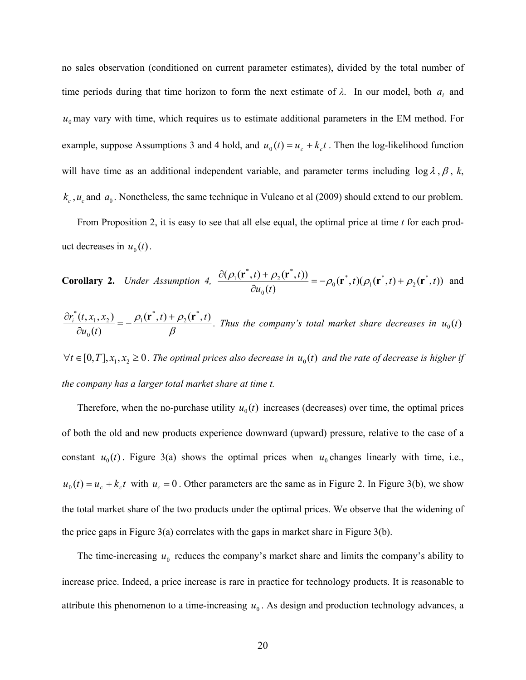no sales observation (conditioned on current parameter estimates), divided by the total number of time periods during that time horizon to form the next estimate of  $\lambda$ . In our model, both  $a_i$  and  $u_0$  may vary with time, which requires us to estimate additional parameters in the EM method. For example, suppose Assumptions 3 and 4 hold, and  $u_0(t) = u_c + k_c t$ . Then the log-likelihood function will have time as an additional independent variable, and parameter terms including  $\log \lambda$ ,  $\beta$ ,  $k$ ,  $k_c$ ,  $u_c$  and  $a_0$ . Nonetheless, the same technique in Vulcano et al (2009) should extend to our problem.

From Proposition 2, it is easy to see that all else equal, the optimal price at time *t* for each product decreases in  $u_0(t)$ .

**Corollary 2.** Under Assumption 4, 
$$
\frac{\partial(\rho_1(\mathbf{r}^*,t) + \rho_2(\mathbf{r}^*,t))}{\partial u_0(t)} = -\rho_0(\mathbf{r}^*,t)(\rho_1(\mathbf{r}^*,t) + \rho_2(\mathbf{r}^*,t))
$$
 and

$$
\frac{\partial r_i^*(t, x_1, x_2)}{\partial u_0(t)} = -\frac{\rho_1(\mathbf{r}^*, t) + \rho_2(\mathbf{r}^*, t)}{\beta}.
$$
 Thus the company's total market share decreases in  $u_0(t)$ 

 $\forall t \in [0, T], x_1, x_2 \ge 0$ . The optimal prices also decrease in  $u_0(t)$  and the rate of decrease is higher if *the company has a larger total market share at time t.*

Therefore, when the no-purchase utility  $u_0(t)$  increases (decreases) over time, the optimal prices of both the old and new products experience downward (upward) pressure, relative to the case of a constant  $u_0(t)$ . Figure 3(a) shows the optimal prices when  $u_0$  changes linearly with time, i.e.,  $u_0(t) = u_c + k_c t$  with  $u_c = 0$ . Other parameters are the same as in Figure 2. In Figure 3(b), we show the total market share of the two products under the optimal prices. We observe that the widening of the price gaps in Figure  $3(a)$  correlates with the gaps in market share in Figure  $3(b)$ .

The time-increasing  $u_0$  reduces the company's market share and limits the company's ability to increase price. Indeed, a price increase is rare in practice for technology products. It is reasonable to attribute this phenomenon to a time-increasing  $u_0$ . As design and production technology advances, a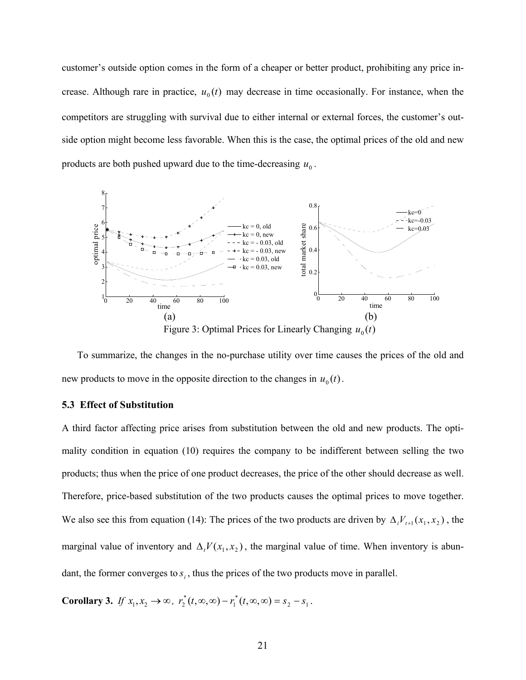customer's outside option comes in the form of a cheaper or better product, prohibiting any price increase. Although rare in practice,  $u_0(t)$  may decrease in time occasionally. For instance, when the competitors are struggling with survival due to either internal or external forces, the customer's outside option might become less favorable. When this is the case, the optimal prices of the old and new products are both pushed upward due to the time-decreasing  $u_0$ .



To summarize, the changes in the no-purchase utility over time causes the prices of the old and new products to move in the opposite direction to the changes in  $u_0(t)$ .

#### **5.3 Effect of Substitution**

A third factor affecting price arises from substitution between the old and new products. The optimality condition in equation (10) requires the company to be indifferent between selling the two products; thus when the price of one product decreases, the price of the other should decrease as well. Therefore, price-based substitution of the two products causes the optimal prices to move together. We also see this from equation (14): The prices of the two products are driven by  $\Delta_i V_{t+1}(x_1, x_2)$ , the marginal value of inventory and  $\Delta_t V(x_1, x_2)$ , the marginal value of time. When inventory is abundant, the former converges to  $s_i$ , thus the prices of the two products move in parallel.

**Corollary 3.** *If*  $x_1, x_2 \to \infty$ ,  $r_2^*(t, \infty, \infty) - r_1^*(t, \infty, \infty) = s_2 - s_1$ . 1  $r_2^*(t, \infty, \infty) - r_1^*(t, \infty, \infty) = s_2 - s$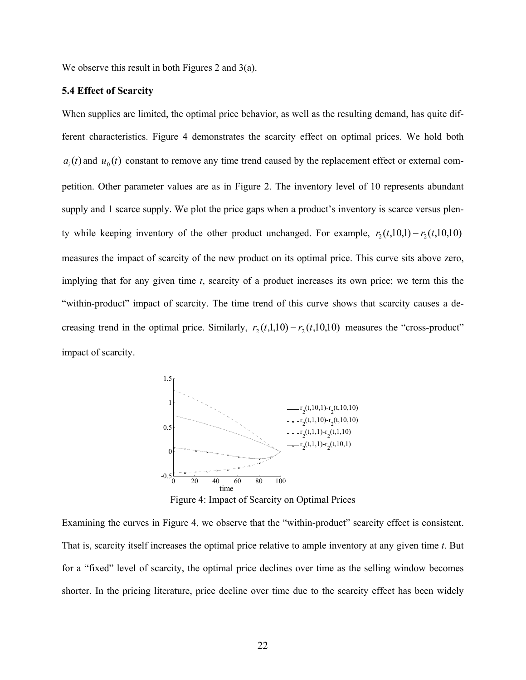We observe this result in both Figures 2 and 3(a).

#### **5.4 Effect of Scarcity**

When supplies are limited, the optimal price behavior, as well as the resulting demand, has quite different characteristics. Figure 4 demonstrates the scarcity effect on optimal prices. We hold both  $a_i(t)$  and  $u_0(t)$  constant to remove any time trend caused by the replacement effect or external competition. Other parameter values are as in Figure 2. The inventory level of 10 represents abundant supply and 1 scarce supply. We plot the price gaps when a product's inventory is scarce versus plenty while keeping inventory of the other product unchanged. For example,  $r_2(t,10,1) - r_2(t,10,10)$ measures the impact of scarcity of the new product on its optimal price. This curve sits above zero, implying that for any given time *t*, scarcity of a product increases its own price; we term this the "within-product" impact of scarcity. The time trend of this curve shows that scarcity causes a decreasing trend in the optimal price. Similarly,  $r_2(t,1,10) - r_2(t,10,10)$  measures the "cross-product" impact of scarcity.



Figure 4: Impact of Scarcity on Optimal Prices

Examining the curves in Figure 4, we observe that the "within-product" scarcity effect is consistent. That is, scarcity itself increases the optimal price relative to ample inventory at any given time *t*. But for a "fixed" level of scarcity, the optimal price declines over time as the selling window becomes shorter. In the pricing literature, price decline over time due to the scarcity effect has been widely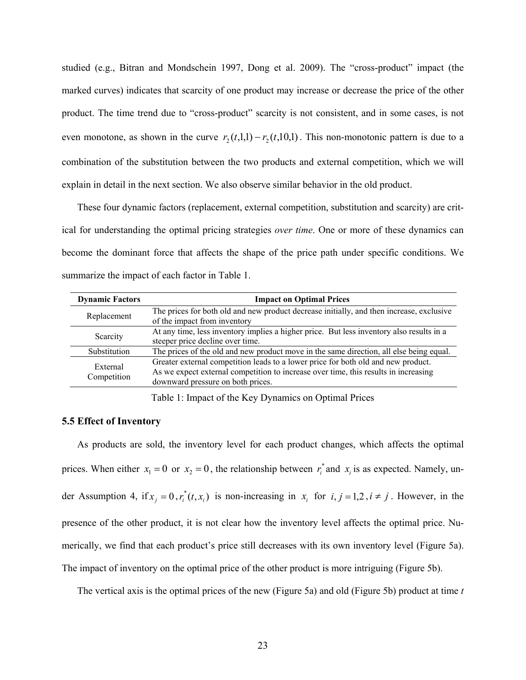studied (e.g., Bitran and Mondschein 1997, Dong et al. 2009). The "cross-product" impact (the marked curves) indicates that scarcity of one product may increase or decrease the price of the other product. The time trend due to "cross-product" scarcity is not consistent, and in some cases, is not even monotone, as shown in the curve  $r_2(t,1,1)-r_2(t,1,0,1)$ . This non-monotonic pattern is due to a combination of the substitution between the two products and external competition, which we will explain in detail in the next section. We also observe similar behavior in the old product.

These four dynamic factors (replacement, external competition, substitution and scarcity) are critical for understanding the optimal pricing strategies *over time*. One or more of these dynamics can become the dominant force that affects the shape of the price path under specific conditions. We summarize the impact of each factor in Table 1.

| <b>Dynamic Factors</b>  | <b>Impact on Optimal Prices</b>                                                                                                                                                                               |
|-------------------------|---------------------------------------------------------------------------------------------------------------------------------------------------------------------------------------------------------------|
| Replacement             | The prices for both old and new product decrease initially, and then increase, exclusive<br>of the impact from inventory                                                                                      |
| Scarcity                | At any time, less inventory implies a higher price. But less inventory also results in a<br>steeper price decline over time.                                                                                  |
| Substitution            | The prices of the old and new product move in the same direction, all else being equal.                                                                                                                       |
| External<br>Competition | Greater external competition leads to a lower price for both old and new product.<br>As we expect external competition to increase over time, this results in increasing<br>downward pressure on both prices. |

Table 1: Impact of the Key Dynamics on Optimal Prices

#### **5.5 Effect of Inventory**

As products are sold, the inventory level for each product changes, which affects the optimal prices. When either  $x_1 = 0$  or  $x_2 = 0$ , the relationship between  $r_i^*$  and  $x_i$  is as expected. Namely, under Assumption 4, if  $x_j = 0$ ,  $r_i^*(t, x_i)$  is non-increasing in  $x_i$  for  $i, j = 1, 2, i \neq j$ . However, in the presence of the other product, it is not clear how the inventory level affects the optimal price. Numerically, we find that each product's price still decreases with its own inventory level (Figure 5a). The impact of inventory on the optimal price of the other product is more intriguing (Figure 5b).

The vertical axis is the optimal prices of the new (Figure 5a) and old (Figure 5b) product at time *t*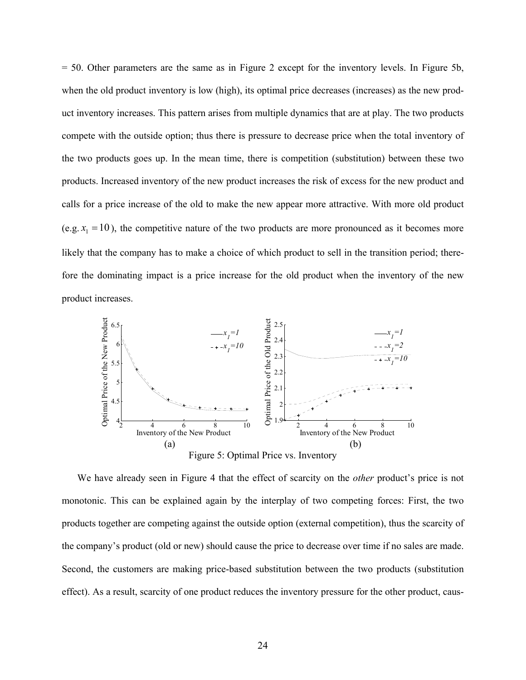= 50. Other parameters are the same as in Figure 2 except for the inventory levels. In Figure 5b, when the old product inventory is low (high), its optimal price decreases (increases) as the new product inventory increases. This pattern arises from multiple dynamics that are at play. The two products compete with the outside option; thus there is pressure to decrease price when the total inventory of the two products goes up. In the mean time, there is competition (substitution) between these two products. Increased inventory of the new product increases the risk of excess for the new product and calls for a price increase of the old to make the new appear more attractive. With more old product (e.g.  $x_1 = 10$ ), the competitive nature of the two products are more pronounced as it becomes more likely that the company has to make a choice of which product to sell in the transition period; therefore the dominating impact is a price increase for the old product when the inventory of the new product increases.



We have already seen in Figure 4 that the effect of scarcity on the *other* product's price is not monotonic. This can be explained again by the interplay of two competing forces: First, the two products together are competing against the outside option (external competition), thus the scarcity of the company's product (old or new) should cause the price to decrease over time if no sales are made. Second, the customers are making price-based substitution between the two products (substitution effect). As a result, scarcity of one product reduces the inventory pressure for the other product, caus-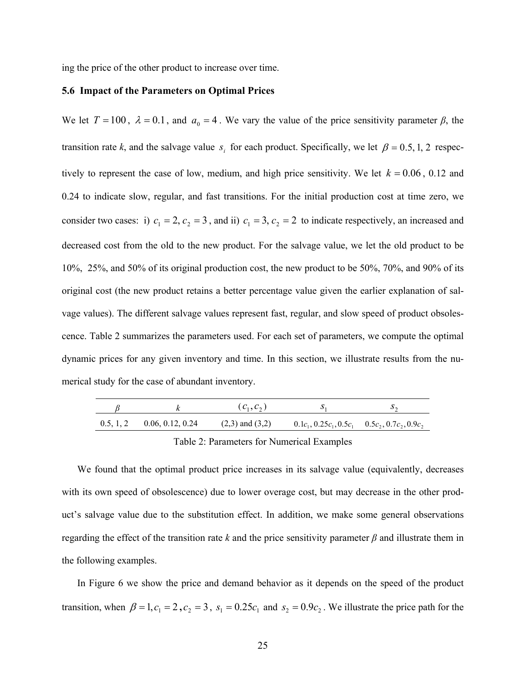ing the price of the other product to increase over time.

#### **5.6 Impact of the Parameters on Optimal Prices**

We let  $T = 100$ ,  $\lambda = 0.1$ , and  $a_0 = 4$ . We vary the value of the price sensitivity parameter  $\beta$ , the transition rate *k*, and the salvage value  $s_i$  for each product. Specifically, we let  $\beta = 0.5, 1, 2$  respectively to represent the case of low, medium, and high price sensitivity. We let  $k = 0.06$ , 0.12 and 0.24 to indicate slow, regular, and fast transitions. For the initial production cost at time zero, we consider two cases: i)  $c_1 = 2$ ,  $c_2 = 3$ , and ii)  $c_1 = 3$ ,  $c_2 = 2$  to indicate respectively, an increased and decreased cost from the old to the new product. For the salvage value, we let the old product to be 10%, 25%, and 50% of its original production cost, the new product to be 50%, 70%, and 90% of its original cost (the new product retains a better percentage value given the earlier explanation of salvage values). The different salvage values represent fast, regular, and slow speed of product obsolescence. Table 2 summarizes the parameters used. For each set of parameters, we compute the optimal dynamic prices for any given inventory and time. In this section, we illustrate results from the numerical study for the case of abundant inventory.

|                                | $(c_1, c_2)$        |                                                                |  |
|--------------------------------|---------------------|----------------------------------------------------------------|--|
| $0.5, 1, 2$ $0.06, 0.12, 0.24$ | $(2,3)$ and $(3,2)$ | $0.1c_1$ , $0.25c_1$ , $0.5c_1$ $0.5c_2$ , $0.7c_2$ , $0.9c_2$ |  |

#### Table 2: Parameters for Numerical Examples

We found that the optimal product price increases in its salvage value (equivalently, decreases with its own speed of obsolescence) due to lower overage cost, but may decrease in the other product's salvage value due to the substitution effect. In addition, we make some general observations regarding the effect of the transition rate *k* and the price sensitivity parameter *β* and illustrate them in the following examples.

In Figure 6 we show the price and demand behavior as it depends on the speed of the product transition, when  $\beta = 1, c_1 = 2, c_2 = 3$ ,  $s_1 = 0.25c_1$  and  $s_2 = 0.9c_2$ . We illustrate the price path for the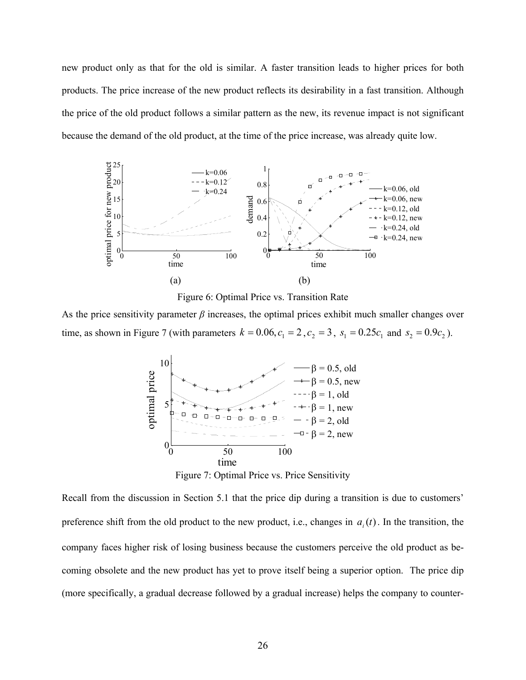new product only as that for the old is similar. A faster transition leads to higher prices for both products. The price increase of the new product reflects its desirability in a fast transition. Although the price of the old product follows a similar pattern as the new, its revenue impact is not significant because the demand of the old product, at the time of the price increase, was already quite low.



Figure 6: Optimal Price vs. Transition Rate

As the price sensitivity parameter  $\beta$  increases, the optimal prices exhibit much smaller changes over time, as shown in Figure 7 (with parameters  $k = 0.06$ ,  $c_1 = 2$ ,  $c_2 = 3$ ,  $s_1 = 0.25c_1$  and  $s_2 = 0.9c_2$ ).



Figure 7: Optimal Price vs. Price Sensitivity

Recall from the discussion in Section 5.1 that the price dip during a transition is due to customers' preference shift from the old product to the new product, i.e., changes in  $a_i(t)$ . In the transition, the company faces higher risk of losing business because the customers perceive the old product as becoming obsolete and the new product has yet to prove itself being a superior option. The price dip (more specifically, a gradual decrease followed by a gradual increase) helps the company to counter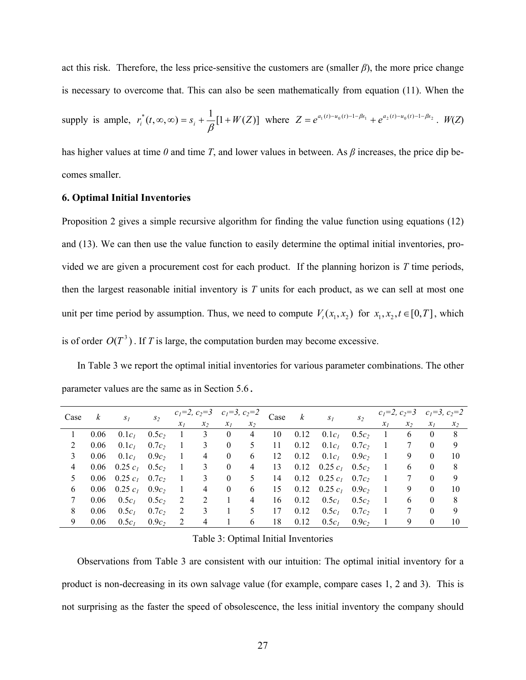act this risk. Therefore, the less price-sensitive the customers are (smaller  $\beta$ ), the more price change is necessary to overcome that. This can also be seen mathematically from equation (11). When the

\n supply is ample, \n 
$$
r_i^*(t, \infty, \infty) = s_i + \frac{1}{\beta} [1 + W(Z)]
$$
\n where \n  $Z = e^{a_1(t) - u_0(t) - 1 - \beta s_1} + e^{a_2(t) - u_0(t) - 1 - \beta s_2}$ \n . \n  $W(Z)$ \n

has higher values at time *0* and time *T*, and lower values in between. As *β* increases, the price dip becomes smaller.

#### **6. Optimal Initial Inventories**

Proposition 2 gives a simple recursive algorithm for finding the value function using equations (12) and (13). We can then use the value function to easily determine the optimal initial inventories, provided we are given a procurement cost for each product. If the planning horizon is *T* time periods, then the largest reasonable initial inventory is *T* units for each product, as we can sell at most one unit per time period by assumption. Thus, we need to compute  $V_t(x_1, x_2)$  for  $x_1, x_2, t \in [0, T]$ , which is of order  $O(T^3)$ . If *T* is large, the computation burden may become excessive.

In Table 3 we report the optimal initial inventories for various parameter combinations. The other parameter values are the same as in Section 5.6.

| Case | $\kappa$ | $S_I$             | S <sub>2</sub>    | $c_1=2, c_2=3$ |       | $c_1=3, c_2=2$ |       | Case | k    |                    | S <sub>2</sub> |       |       | $c_1=2, c_2=3$ $c_1=3, c_2=2$ |       |
|------|----------|-------------------|-------------------|----------------|-------|----------------|-------|------|------|--------------------|----------------|-------|-------|-------------------------------|-------|
|      |          |                   |                   | $x_I$          | $x_2$ | $x_I$          | $x_2$ |      |      | $S_I$              |                | $x_I$ | $x_2$ | $x_I$                         | $x_2$ |
|      | 0.06     | 0.1c <sub>L</sub> | $0.5c_2$          |                | 3     | $\theta$       | 4     | 10   | 0.12 | 0.1c <sub>l</sub>  | $0.5c_2$       |       | 6     | $\theta$                      | 8     |
| 2    | 0.06     | 0.1c <sub>L</sub> | $0.7c_2$          | 1              | 3     | $\theta$       | 5     | 11   | 0.12 | $0.1c_I$           | $0.7c_2$       |       | 7     | $\theta$                      | 9     |
| 3    | 0.06     | $0.1c_I$          | $0.9c_2$          | -1             | 4     | $\theta$       | 6     | 12   | 0.12 | $0.1c_I$           | $0.9c_2$       |       | 9     | $\theta$                      | 10    |
| 4    | 0.06     | $0.25 c_1 0.5c_2$ |                   | - 1            | 3     | $\theta$       | 4     | 13   | 0.12 | $0.25c_1$ $0.5c_2$ |                |       | 6     | $\theta$                      | 8     |
| 5.   |          | 0.06 0.25 $c_1$   | $0.7c_2$          | $\mathbf{I}$   | 3     | $\theta$       | 5     | 14   | 0.12 | $0.25 c_1$         | $0.7c_2$       |       | 7     | $\theta$                      | 9     |
| 6    | 0.06     | $0.25 c_1 0.9c_2$ |                   |                | 4     | $\theta$       | 6     | 15   | 0.12 | $0.25 c_1$         | $0.9c_2$       |       | 9     | $\theta$                      | 10    |
| 7    | 0.06     | $0.5c_I$          | 0.5c <sub>2</sub> | 2              | 2     |                | 4     | 16   | 0.12 | $0.5c_I$           | $0.5c_2$       |       | 6     | $\mathbf{0}$                  | 8     |
| 8    | 0.06     | 0.5c <sub>1</sub> | $0.7c_2$          | 2              | 3     |                |       | 17   | 0.12 | $0.5c_1$           | $0.7c_2$       |       |       | $\theta$                      | 9     |
| 9    | 0.06     | 0.5c <sub>L</sub> | $0.9c_2$          | 2              | 4     |                | 6     | 18   | 0.12 | 0.5c <sub>1</sub>  | $0.9c_2$       |       | 9     | $\mathbf{0}$                  | 10    |

#### Table 3: Optimal Initial Inventories

Observations from Table 3 are consistent with our intuition: The optimal initial inventory for a product is non-decreasing in its own salvage value (for example, compare cases 1, 2 and 3). This is not surprising as the faster the speed of obsolescence, the less initial inventory the company should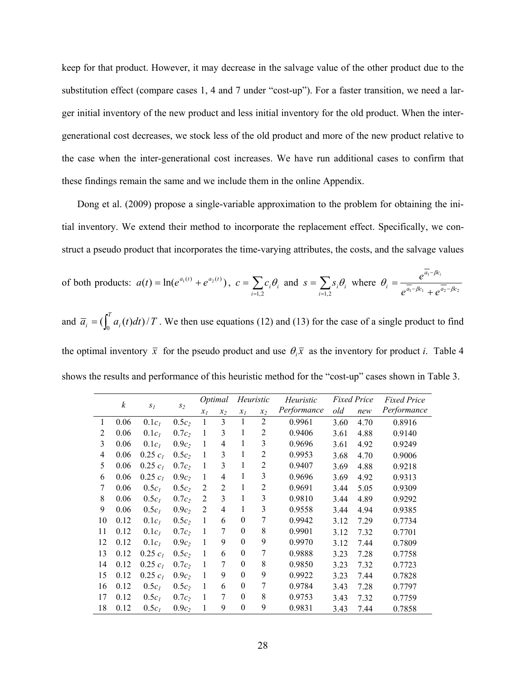keep for that product. However, it may decrease in the salvage value of the other product due to the substitution effect (compare cases 1, 4 and 7 under "cost-up"). For a faster transition, we need a larger initial inventory of the new product and less initial inventory for the old product. When the intergenerational cost decreases, we stock less of the old product and more of the new product relative to the case when the inter-generational cost increases. We have run additional cases to confirm that these findings remain the same and we include them in the online Appendix.

Dong et al. (2009) propose a single-variable approximation to the problem for obtaining the initial inventory. We extend their method to incorporate the replacement effect. Specifically, we construct a pseudo product that incorporates the time-varying attributes, the costs, and the salvage values

of both products: 
$$
a(t) = \ln(e^{a_1(t)} + e^{a_2(t)})
$$
,  $c = \sum_{i=1,2} c_i \theta_i$  and  $s = \sum_{i=1,2} s_i \theta_i$  where  $\theta_i = \frac{e^{a_1 - \beta c_i}}{e^{\overline{a_1} - \beta c_1} + e^{\overline{a_2} - \beta c_2}}$ 

and  $\overline{a}_i = \left(\int_0^T a_i(t) dt\right) / T$ . We then use equations (12) and (13) for the case of a single product to find the optimal inventory  $\bar{x}$  for the pseudo product and use  $\theta_i \bar{x}$  as the inventory for product *i*. Table 4 shows the results and performance of this heuristic method for the "cost-up" cases shown in Table 3.

| $\boldsymbol{k}$ |      |                   |                   | Optimal        |                | Heuristic |                | Heuristic   | <i>Fixed Price</i> |      | <b>Fixed Price</b> |  |
|------------------|------|-------------------|-------------------|----------------|----------------|-----------|----------------|-------------|--------------------|------|--------------------|--|
|                  |      | $S_I$             | $S_2$             | $x_I$          | $x_2$          | $x_I$     | $x_2$          | Performance | old                | new  | Performance        |  |
| 1                | 0.06 | 0.1c <sub>l</sub> | $0.5c_2$          | 1              | 3              |           | $\overline{2}$ | 0.9961      | 3.60               | 4.70 | 0.8916             |  |
| $\overline{2}$   | 0.06 | 0.1c <sub>l</sub> | 0.7c <sub>2</sub> | 1              | 3              | 1         | $\overline{2}$ | 0.9406      | 3.61               | 4.88 | 0.9140             |  |
| 3                | 0.06 | $0.1c_l$          | 0.9c <sub>2</sub> | 1              | 4              | 1         | 3              | 0.9696      | 3.61               | 4.92 | 0.9249             |  |
| 4                | 0.06 | $0.25 c_1$        | $0.5c_2$          | 1              | 3              | 1         | 2              | 0.9953      | 3.68               | 4.70 | 0.9006             |  |
| 5                | 0.06 | $0.25 c_1$        | $0.7c_2$          | 1              | 3              | 1         | 2              | 0.9407      | 3.69               | 4.88 | 0.9218             |  |
| 6                | 0.06 | $0.25 c_1$        | $0.9c_2$          | 1              | 4              | 1         | 3              | 0.9696      | 3.69               | 4.92 | 0.9313             |  |
| 7                | 0.06 | $0.5c_1$          | $0.5c_2$          | 2              | $\overline{2}$ | 1         | 2              | 0.9691      | 3.44               | 5.05 | 0.9309             |  |
| 8                | 0.06 | 0.5c <sub>l</sub> | $0.7c_2$          | 2              | 3              | 1         | 3              | 0.9810      | 3.44               | 4.89 | 0.9292             |  |
| 9                | 0.06 | $0.5c_1$          | 0.9c <sub>2</sub> | $\overline{2}$ | $\overline{4}$ | 1         | 3              | 0.9558      | 3.44               | 4.94 | 0.9385             |  |
| 10               | 0.12 | 0.1c <sub>l</sub> | $0.5c_2$          | 1              | 6              | $\theta$  | 7              | 0.9942      | 3.12               | 7.29 | 0.7734             |  |
| 11               | 0.12 | 0.1c <sub>l</sub> | $0.7c_2$          | 1              | 7              | $\theta$  | 8              | 0.9901      | 3.12               | 7.32 | 0.7701             |  |
| 12               | 0.12 | $0.1c_1$          | 0.9c <sub>2</sub> | 1              | 9              | $\theta$  | 9              | 0.9970      | 3.12               | 7.44 | 0.7809             |  |
| 13               | 0.12 | $0.25 c_1$        | $0.5c_2$          | 1              | 6              | $\theta$  | 7              | 0.9888      | 3.23               | 7.28 | 0.7758             |  |
| 14               | 0.12 | $0.25 c_1$        | $0.7c_2$          | 1              | 7              | $\theta$  | 8              | 0.9850      | 3.23               | 7.32 | 0.7723             |  |
| 15               | 0.12 | $0.25 c_1$        | 0.9c <sub>2</sub> | 1              | 9              | $\theta$  | 9              | 0.9922      | 3.23               | 7.44 | 0.7828             |  |
| 16               | 0.12 | $0.5c_1$          | $0.5c_2$          | 1              | 6              | $\theta$  | 7              | 0.9784      | 3.43               | 7.28 | 0.7797             |  |
| 17               | 0.12 | $0.5c_1$          | $0.7c_2$          | 1              | 7              | $\theta$  | 8              | 0.9753      | 3.43               | 7.32 | 0.7759             |  |
| 18               | 0.12 | $0.5c_l$          | $0.9c_2$          | 1              | 9              | $\theta$  | 9              | 0.9831      | 3.43               | 7.44 | 0.7858             |  |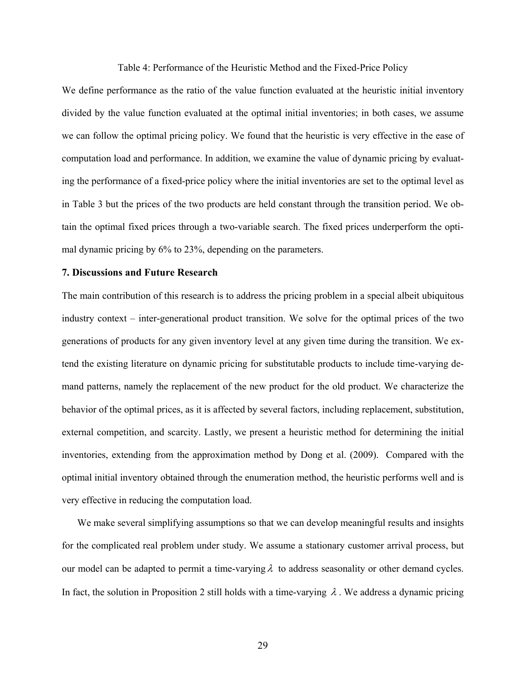Table 4: Performance of the Heuristic Method and the Fixed-Price Policy

We define performance as the ratio of the value function evaluated at the heuristic initial inventory divided by the value function evaluated at the optimal initial inventories; in both cases, we assume we can follow the optimal pricing policy. We found that the heuristic is very effective in the ease of computation load and performance. In addition, we examine the value of dynamic pricing by evaluating the performance of a fixed-price policy where the initial inventories are set to the optimal level as in Table 3 but the prices of the two products are held constant through the transition period. We obtain the optimal fixed prices through a two-variable search. The fixed prices underperform the optimal dynamic pricing by 6% to 23%, depending on the parameters.

#### **7. Discussions and Future Research**

The main contribution of this research is to address the pricing problem in a special albeit ubiquitous industry context – inter-generational product transition. We solve for the optimal prices of the two generations of products for any given inventory level at any given time during the transition. We extend the existing literature on dynamic pricing for substitutable products to include time-varying demand patterns, namely the replacement of the new product for the old product. We characterize the behavior of the optimal prices, as it is affected by several factors, including replacement, substitution, external competition, and scarcity. Lastly, we present a heuristic method for determining the initial inventories, extending from the approximation method by Dong et al. (2009). Compared with the optimal initial inventory obtained through the enumeration method, the heuristic performs well and is very effective in reducing the computation load.

We make several simplifying assumptions so that we can develop meaningful results and insights for the complicated real problem under study. We assume a stationary customer arrival process, but our model can be adapted to permit a time-varying  $\lambda$  to address seasonality or other demand cycles. In fact, the solution in Proposition 2 still holds with a time-varying  $\lambda$ . We address a dynamic pricing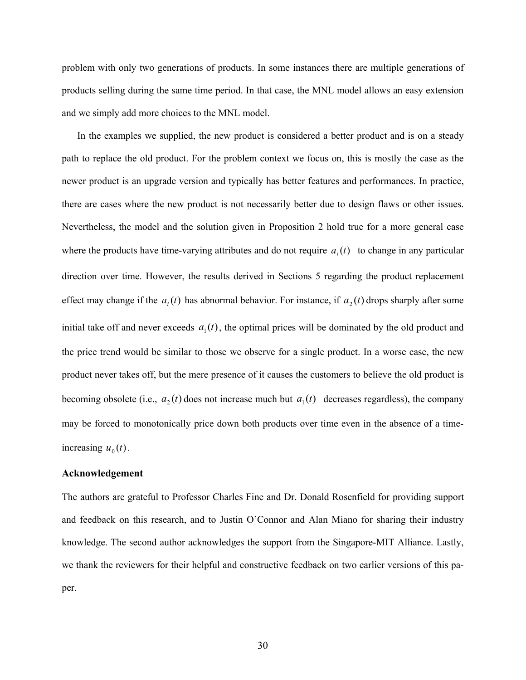problem with only two generations of products. In some instances there are multiple generations of products selling during the same time period. In that case, the MNL model allows an easy extension and we simply add more choices to the MNL model.

In the examples we supplied, the new product is considered a better product and is on a steady path to replace the old product. For the problem context we focus on, this is mostly the case as the newer product is an upgrade version and typically has better features and performances. In practice, there are cases where the new product is not necessarily better due to design flaws or other issues. Nevertheless, the model and the solution given in Proposition 2 hold true for a more general case where the products have time-varying attributes and do not require  $a_i(t)$  to change in any particular direction over time. However, the results derived in Sections 5 regarding the product replacement effect may change if the  $a_i(t)$  has abnormal behavior. For instance, if  $a_2(t)$  drops sharply after some initial take off and never exceeds  $a_1(t)$ , the optimal prices will be dominated by the old product and the price trend would be similar to those we observe for a single product. In a worse case, the new product never takes off, but the mere presence of it causes the customers to believe the old product is becoming obsolete (i.e.,  $a_2(t)$  does not increase much but  $a_1(t)$  decreases regardless), the company may be forced to monotonically price down both products over time even in the absence of a timeincreasing  $u_0(t)$ .

#### **Acknowledgement**

The authors are grateful to Professor Charles Fine and Dr. Donald Rosenfield for providing support and feedback on this research, and to Justin O'Connor and Alan Miano for sharing their industry knowledge. The second author acknowledges the support from the Singapore-MIT Alliance. Lastly, we thank the reviewers for their helpful and constructive feedback on two earlier versions of this paper.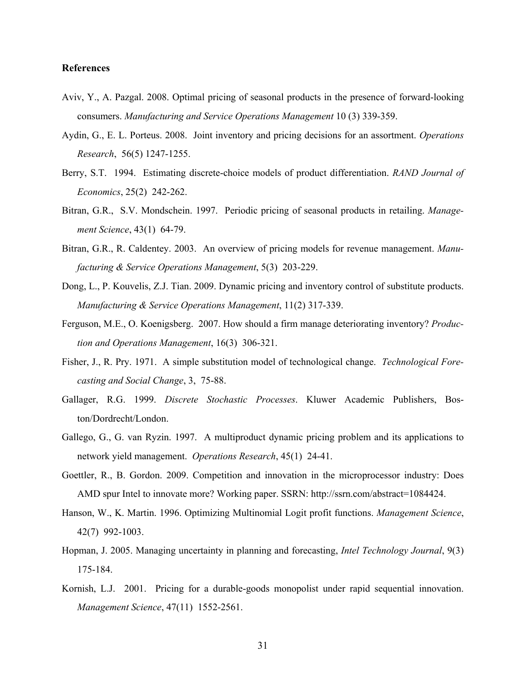#### **References**

- Aviv, Y., A. Pazgal. 2008. Optimal pricing of seasonal products in the presence of forward-looking consumers. *Manufacturing and Service Operations Management* 10 (3) 339-359.
- Aydin, G., E. L. Porteus. 2008. Joint inventory and pricing decisions for an assortment. *Operations Research*, 56(5) 1247-1255.
- Berry, S.T. 1994. Estimating discrete-choice models of product differentiation. *RAND Journal of Economics*, 25(2) 242-262.
- Bitran, G.R., S.V. Mondschein. 1997. Periodic pricing of seasonal products in retailing. *Management Science*, 43(1) 64-79.
- Bitran, G.R., R. Caldentey. 2003. An overview of pricing models for revenue management. *Manufacturing & Service Operations Management*, 5(3) 203-229.
- Dong, L., P. Kouvelis, Z.J. Tian. 2009. Dynamic pricing and inventory control of substitute products. *Manufacturing & Service Operations Management*, 11(2) 317-339.
- Ferguson, M.E., O. Koenigsberg. 2007. How should a firm manage deteriorating inventory? *Production and Operations Management*, 16(3) 306-321.
- Fisher, J., R. Pry. 1971. A simple substitution model of technological change. *Technological Forecasting and Social Change*, 3, 75-88.
- Gallager, R.G. 1999. *Discrete Stochastic Processes*. Kluwer Academic Publishers, Boston/Dordrecht/London.
- Gallego, G., G. van Ryzin. 1997. A multiproduct dynamic pricing problem and its applications to network yield management. *Operations Research*, 45(1) 24-41.
- Goettler, R., B. Gordon. 2009. Competition and innovation in the microprocessor industry: Does AMD spur Intel to innovate more? Working paper. SSRN: http://ssrn.com/abstract=1084424.
- Hanson, W., K. Martin. 1996. Optimizing Multinomial Logit profit functions. *Management Science*, 42(7) 992-1003.
- Hopman, J. 2005. Managing uncertainty in planning and forecasting, *Intel Technology Journal*, 9(3) 175-184.
- Kornish, L.J. 2001. Pricing for a durable-goods monopolist under rapid sequential innovation. *Management Science*, 47(11) 1552-2561.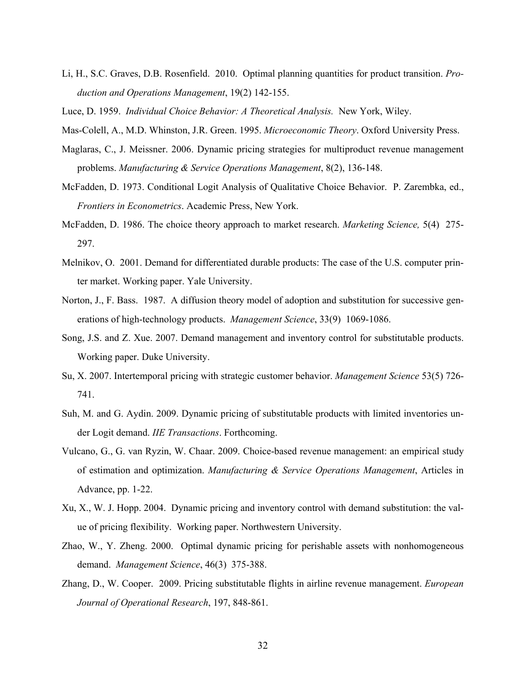- Li, H., S.C. Graves, D.B. Rosenfield. 2010. Optimal planning quantities for product transition. *Production and Operations Management*, 19(2) 142-155.
- Luce, D. 1959. *Individual Choice Behavior: A Theoretical Analysis.* New York, Wiley.
- Mas-Colell, A., M.D. Whinston, J.R. Green. 1995. *Microeconomic Theory*. Oxford University Press.
- Maglaras, C., J. Meissner. 2006. Dynamic pricing strategies for multiproduct revenue management problems. *Manufacturing & Service Operations Management*, 8(2), 136-148.
- McFadden, D. 1973. Conditional Logit Analysis of Qualitative Choice Behavior. P. Zarembka, ed., *Frontiers in Econometrics*. Academic Press, New York.
- McFadden, D. 1986. The choice theory approach to market research. *Marketing Science,* 5(4) 275- 297.
- Melnikov, O. 2001. Demand for differentiated durable products: The case of the U.S. computer printer market. Working paper. Yale University.
- Norton, J., F. Bass. 1987. A diffusion theory model of adoption and substitution for successive generations of high-technology products. *Management Science*, 33(9) 1069-1086.
- Song, J.S. and Z. Xue. 2007. Demand management and inventory control for substitutable products. Working paper. Duke University.
- Su, X. 2007. Intertemporal pricing with strategic customer behavior. *Management Science* 53(5) 726- 741.
- Suh, M. and G. Aydin. 2009. Dynamic pricing of substitutable products with limited inventories under Logit demand. *IIE Transactions*. Forthcoming.
- Vulcano, G., G. van Ryzin, W. Chaar. 2009. Choice-based revenue management: an empirical study of estimation and optimization. *Manufacturing & Service Operations Management*, Articles in Advance, pp. 1-22.
- Xu, X., W. J. Hopp. 2004. Dynamic pricing and inventory control with demand substitution: the value of pricing flexibility. Working paper. Northwestern University.
- Zhao, W., Y. Zheng. 2000. Optimal dynamic pricing for perishable assets with nonhomogeneous demand. *Management Science*, 46(3) 375-388.
- Zhang, D., W. Cooper. 2009. Pricing substitutable flights in airline revenue management. *European Journal of Operational Research*, 197, 848-861.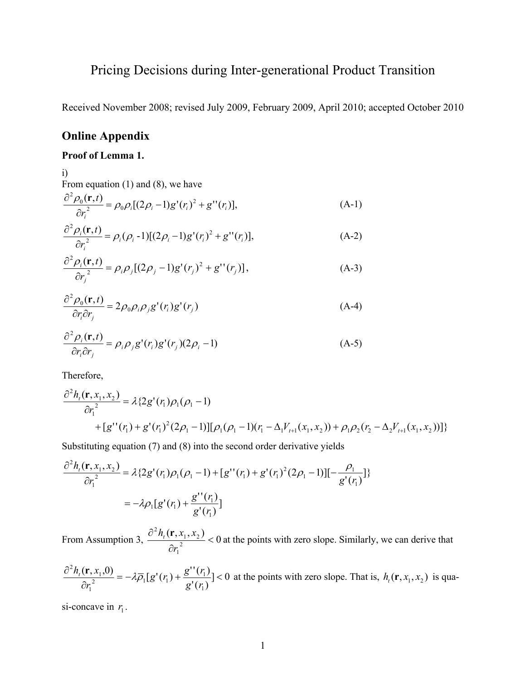# Pricing Decisions during Inter-generational Product Transition

Received November 2008; revised July 2009, February 2009, April 2010; accepted October 2010

# **Online Appendix**

### **Proof of Lemma 1.**

i) From equation  $(1)$  and  $(8)$ , we have

$$
\frac{\partial^2 \rho_0(\mathbf{r},t)}{\partial r_i^2} = \rho_0 \rho_i [(2\rho_i - 1)g'(r_i)^2 + g''(r_i)],\tag{A-1}
$$

$$
\frac{\partial^2 \rho_i(\mathbf{r},t)}{\partial r_i^2} = \rho_i(\rho_i - 1)[(2\rho_i - 1)g'(r_i)^2 + g''(r_i)],\tag{A-2}
$$

$$
\frac{\partial^2 \rho_i(\mathbf{r},t)}{\partial r_j^2} = \rho_i \rho_j [(2\rho_j - 1)g'(r_j)^2 + g''(r_j)],
$$
\n(A-3)

$$
\frac{\partial^2 \rho_0(\mathbf{r},t)}{\partial r_i \partial r_j} = 2\rho_0 \rho_i \rho_j g'(r_i)g'(r_j)
$$
\n(A-4)

$$
\frac{\partial^2 \rho_i(\mathbf{r},t)}{\partial r_i \partial r_j} = \rho_i \rho_j g'(r_i) g'(r_j) (2\rho_i - 1)
$$
\n(A-5)

Therefore,

$$
\frac{\partial^2 h_i(\mathbf{r}, x_1, x_2)}{\partial r_1^2} = \lambda \{ 2g'(r_1) \rho_1(\rho_1 - 1) + [g''(r_1) + g'(r_1)^2(2\rho_1 - 1)][\rho_1(\rho_1 - 1)(r_1 - \Delta_1 V_{t+1}(x_1, x_2)) + \rho_1 \rho_2 (r_2 - \Delta_2 V_{t+1}(x_1, x_2)) ] \}
$$

Substituting equation (7) and (8) into the second order derivative yields

$$
\frac{\partial^2 h_i(\mathbf{r}, x_1, x_2)}{\partial r_1^2} = \lambda \{ 2g'(r_1) \rho_1(\rho_1 - 1) + [g''(r_1) + g'(r_1)^2 (2\rho_1 - 1)][-\frac{\rho_1}{g'(r_1)}]\}
$$
  
=  $-\lambda \rho_1 [g'(r_1) + \frac{g''(r_1)}{g'(r_1)}]$ 

From Assumption 3,  $\frac{\partial^2 h_t(\mathbf{r}, x_1, x_2)}{\partial x_1^2} < 0$ 1  $1, \lambda_2$ 2  $\lt$ ∂ ∂ *r*  $\frac{h_t(\mathbf{r}, x_1, x_2)}{h_t(\mathbf{r}, x_1, x_2)}$  < 0 at the points with zero slope. Similarly, we can derive that

$$
\frac{\partial^2 h_i(\mathbf{r}, x_1, 0)}{\partial r_1^2} = -\lambda \overline{\rho}_1[g'(r_1) + \frac{g''(r_1)}{g'(r_1)}] < 0
$$
 at the points with zero slope. That is,  $h_i(\mathbf{r}, x_1, x_2)$  is quadratic.

si-concave in  $r_1$ .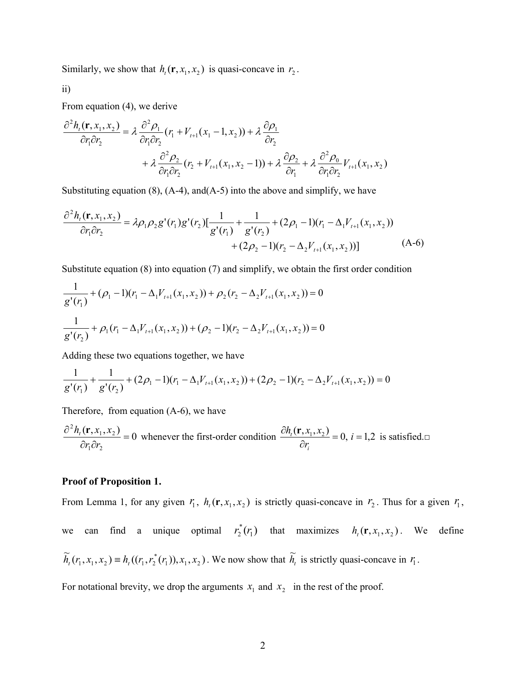Similarly, we show that  $h_t(\mathbf{r}, x_1, x_2)$  is quasi-concave in  $r_2$ .

ii)

From equation (4), we derive

$$
\frac{\partial^2 h_i(\mathbf{r}, x_1, x_2)}{\partial r_1 \partial r_2} = \lambda \frac{\partial^2 \rho_1}{\partial r_1 \partial r_2} (r_1 + V_{t+1}(x_1 - 1, x_2)) + \lambda \frac{\partial \rho_1}{\partial r_2} \n+ \lambda \frac{\partial^2 \rho_2}{\partial r_1 \partial r_2} (r_2 + V_{t+1}(x_1, x_2 - 1)) + \lambda \frac{\partial \rho_2}{\partial r_1} + \lambda \frac{\partial^2 \rho_0}{\partial r_1 \partial r_2} V_{t+1}(x_1, x_2)
$$

Substituting equation  $(8)$ ,  $(A-4)$ , and  $(A-5)$  into the above and simplify, we have

$$
\frac{\partial^2 h_i(\mathbf{r}, x_1, x_2)}{\partial r_1 \partial r_2} = \lambda \rho_1 \rho_2 g'(r_1) g'(r_2) \left[ \frac{1}{g'(r_1)} + \frac{1}{g'(r_2)} + (2\rho_1 - 1)(r_1 - \Delta_1 V_{t+1}(x_1, x_2)) + (2\rho_2 - 1)(r_2 - \Delta_2 V_{t+1}(x_1, x_2)) \right]
$$
(A-6)

Substitute equation (8) into equation (7) and simplify, we obtain the first order condition

$$
\frac{1}{g'(r_1)} + (\rho_1 - 1)(r_1 - \Delta_1 V_{t+1}(x_1, x_2)) + \rho_2 (r_2 - \Delta_2 V_{t+1}(x_1, x_2)) = 0
$$
  

$$
\frac{1}{g'(r_2)} + \rho_1 (r_1 - \Delta_1 V_{t+1}(x_1, x_2)) + (\rho_2 - 1)(r_2 - \Delta_2 V_{t+1}(x_1, x_2)) = 0
$$

Adding these two equations together, we have

$$
\frac{1}{g'(r_1)} + \frac{1}{g'(r_2)} + (2\rho_1 - 1)(r_1 - \Delta_1 V_{t+1}(x_1, x_2)) + (2\rho_2 - 1)(r_2 - \Delta_2 V_{t+1}(x_1, x_2)) = 0
$$

Therefore, from equation (A-6), we have

$$
\frac{\partial^2 h_i(\mathbf{r}, x_1, x_2)}{\partial r_1 \partial r_2} = 0
$$
 whenever the first-order condition  $\frac{\partial h_i(\mathbf{r}, x_1, x_2)}{\partial r_i} = 0$ ,  $i = 1, 2$  is satisfied.

#### **Proof of Proposition 1.**

From Lemma 1, for any given  $r_1$ ,  $h_t(\mathbf{r}, x_1, x_2)$  is strictly quasi-concave in  $r_2$ . Thus for a given  $r_1$ , we can find a unique optimal  $r_2^*(r_1)$  that maximizes  $h_i(\mathbf{r}, x_1, x_2)$ . We define

$$
\widetilde{h}_t(r_1, x_1, x_2) \equiv h_t((r_1, r_2^*(r_1)), x_1, x_2).
$$
 We now show that  $\widetilde{h}_t$  is strictly quasi-concave in  $r_1$ .

For notational brevity, we drop the arguments  $x_1$  and  $x_2$  in the rest of the proof.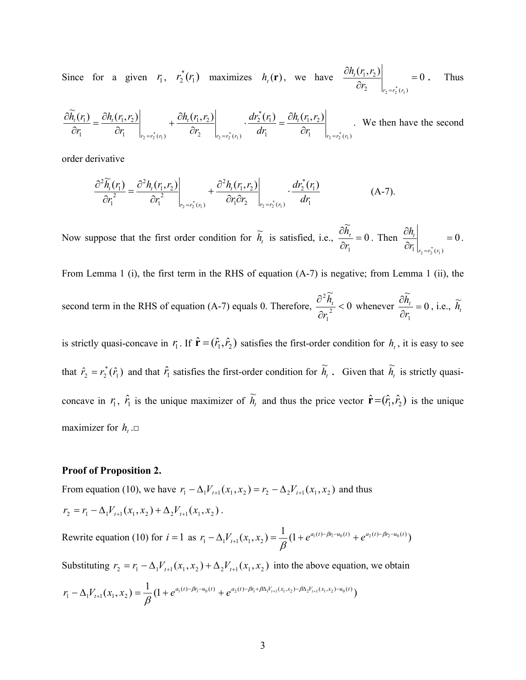Since for a given  $r_1$ ,  $r_2^*(r_1)$  maximizes  $h_t(\mathbf{r})$ , we have  $\frac{\partial h_t(r_1, r_2)}{\partial r_1(r_1, r_2)}$  = 0 2  $|r_2 = r_2^*(r_1)$  $1, 1, 2$  $\left. \frac{\partial h_t(r_1, r_2)}{\partial r_2} \right|_{r_2 = r_2^*(r_1)} =$  $2 - r_2$  $r_2 = r_2^*(r)$ *t r*  $\frac{h_t(r_1, r_2)}{2}$  = 0. Thus

$$
\frac{\partial \widetilde{h}_t(r_1)}{\partial r_1} = \frac{\partial h_t(r_1, r_2)}{\partial r_1} \bigg|_{r_2 = r_2^*(r_1)} + \frac{\partial h_t(r_1, r_2)}{\partial r_2} \bigg|_{r_2 = r_2^*(r_1)} \cdot \frac{dr_2^*(r_1)}{dr_1} = \frac{\partial h_t(r_1, r_2)}{\partial r_1} \bigg|_{r_2 = r_2^*(r_1)}.
$$
 We then have the second

order derivative

$$
\frac{\partial^2 \widetilde{h}_i(r_1)}{\partial r_1^2} = \frac{\partial^2 h_i(r_1, r_2)}{\partial r_1^2} \bigg|_{r_2 = r_2^*(r_1)} + \frac{\partial^2 h_i(r_1, r_2)}{\partial r_1 \partial r_2} \bigg|_{r_2 = r_2^*(r_1)} \cdot \frac{dr_2^*(r_1)}{dr_1}
$$
(A-7).

Now suppose that the first order condition for  $\tilde{h}_t$  is satisfied, i.e.,  $\frac{\partial \tilde{h}_t}{\partial x} = 0$  $\frac{\partial h_t}{\partial r_1} =$ *r*  $\frac{h_t}{\cdot} = 0$ . Then  $\frac{\partial h_t}{\partial t}$  = 0  $\frac{\partial h_t}{\partial r_1}\Big|_{r_2=r_2^*(r_1)} =$  $r_2 = r_2 \rceil (r$ *t r*  $\frac{h_t}{h}$  = 0.

From Lemma 1 (i), the first term in the RHS of equation (A-7) is negative; from Lemma 1 (ii), the second term in the RHS of equation (A-7) equals 0. Therefore,  $\frac{0}{\epsilon_0}$   $\frac{R_t}{2}$  < 0  $\widetilde{r}$ 2 1 2  $\lt$ ∂ ∂ *r*  $\frac{\widetilde{h}_t}{\lambda} < 0$  whenever  $\frac{\partial \widetilde{h}_t}{\partial t} = 0$  $\frac{\partial h_t}{\partial r_1} =$ *r*  $\frac{h_t}{\lambda} = 0$ , i.e.,  $\widetilde{h}_t$ 

is strictly quasi-concave in  $r_1$ . If  $\hat{\mathbf{r}} = (\hat{r}_1, \hat{r}_2)$  satisfies the first-order condition for  $h_t$ , it is easy to see that  $\hat{r}_2 = r_2^*(\hat{r}_1)$  and that  $\hat{r}_1$  satisfies the first-order condition for  $\tilde{h}_t$ . Given that  $\tilde{h}_t$  is strictly quasiconcave in  $r_1$ ,  $\hat{r}_1$  is the unique maximizer of  $\tilde{h}_t$  and thus the price vector  $\hat{\mathbf{r}} = (\hat{r}_1, \hat{r}_2)$  is the unique maximizer for  $h_t$ . $\Box$ 

#### **Proof of Proposition 2.**

From equation (10), we have  $r_1 - \Delta_1 V_{t+1}(x_1, x_2) = r_2 - \Delta_2 V_{t+1}(x_1, x_2)$  and thus  $r_2 = r_1 - \Delta_1 V_{t+1}(x_1, x_2) + \Delta_2 V_{t+1}(x_1, x_2)$ .

Rewrite equation (10) for  $i = 1$  as  $r_1 - \Delta_1 V_{t+1}(x_1, x_2) = \frac{1}{\beta} (1 + e^{a_1(t) - \beta r_1 - u_0(t)} + e^{a_2(t) - \beta r_2 - u_0(t)})$ 

Substituting  $r_2 = r_1 - \Delta_1 V_{t+1}(x_1, x_2) + \Delta_2 V_{t+1}(x_1, x_2)$  into the above equation, we obtain

$$
r_1 - \Delta_1 V_{t+1}(x_1, x_2) = \frac{1}{\beta} (1 + e^{a_1(t) - \beta r_1 - u_0(t)} + e^{a_2(t) - \beta r_1 + \beta \Delta_1 V_{t+1}(x_1, x_2) - \beta \Delta_2 V_{t+1}(x_1, x_2) - u_0(t)})
$$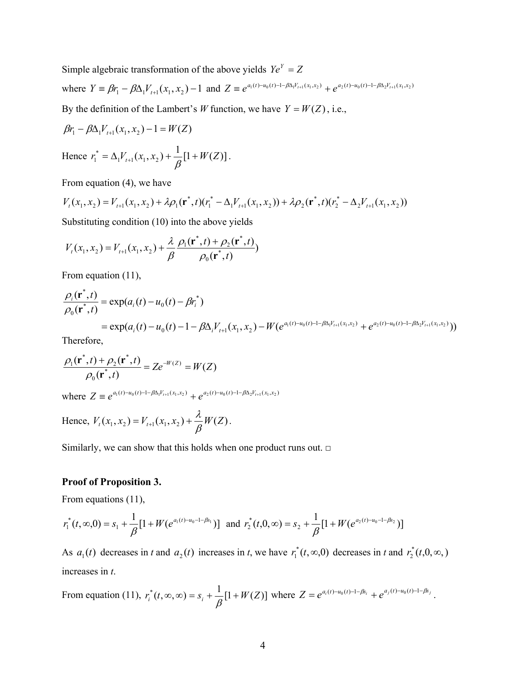Simple algebraic transformation of the above yields  $Ye^{Y} = Z$ 

where  $Y = \beta r_1 - \beta \Delta_1 V_{t+1}(x_1, x_2) - 1$  and  $Z = e^{a_1(t) - u_0(t) - 1 - \beta \Delta_1 V_{t+1}(x_1, x_2)} + e^{a_2(t) - u_0(t) - 1 - \beta \Delta_2 V_{t+1}(x_1, x_2)}$ By the definition of the Lambert's *W* function, we have  $Y = W(Z)$ , i.e.,

$$
\beta r_1 - \beta \Delta_1 V_{t+1}(x_1, x_2) - 1 = W(Z)
$$

Hence 
$$
r_1^* = \Delta_1 V_{t+1}(x_1, x_2) + \frac{1}{\beta} [1 + W(Z)].
$$

From equation (4), we have

$$
V_t(x_1, x_2) = V_{t+1}(x_1, x_2) + \lambda \rho_1(\mathbf{r}^*, t)(r_1^* - \Delta_1 V_{t+1}(x_1, x_2)) + \lambda \rho_2(\mathbf{r}^*, t)(r_2^* - \Delta_2 V_{t+1}(x_1, x_2))
$$

Substituting condition (10) into the above yields

$$
V_{t}(x_{1}, x_{2}) = V_{t+1}(x_{1}, x_{2}) + \frac{\lambda}{\beta} \frac{\rho_{1}(\mathbf{r}^{*}, t) + \rho_{2}(\mathbf{r}^{*}, t)}{\rho_{0}(\mathbf{r}^{*}, t)}
$$

From equation (11),

$$
\frac{\rho_i(\mathbf{r}^*,t)}{\rho_0(\mathbf{r}^*,t)} = \exp(a_i(t) - u_0(t) - \beta r_i^*)
$$
\n
$$
= \exp(a_i(t) - u_0(t) - 1 - \beta \Delta_i V_{t+1}(x_1, x_2) - W(e^{a_1(t) - u_0(t) - 1 - \beta \Delta_i V_{t+1}(x_1, x_2)} + e^{a_2(t) - u_0(t) - 1 - \beta \Delta_i V_{t+1}(x_1, x_2)}))
$$
\nTherefore

Therefore,

$$
\frac{\rho_1(\mathbf{r}^*,t) + \rho_2(\mathbf{r}^*,t)}{\rho_0(\mathbf{r}^*,t)} = Ze^{-W(Z)} = W(Z)
$$

where  $Z \equiv e^{a_1(t) - u_0(t) - 1 - \beta \Delta_1 V_{t+1}(x_1, x_2)} + e^{a_2(t) - u_0(t) - 1 - \beta \Delta_2 V_{t+1}(x_1, x_2)}$ 

Hence, 
$$
V_t(x_1, x_2) = V_{t+1}(x_1, x_2) + \frac{\lambda}{\beta}W(Z)
$$
.

Similarly, we can show that this holds when one product runs out. □

### **Proof of Proposition 3.**

From equations (11),

$$
r_1^*(t, \infty, 0) = s_1 + \frac{1}{\beta} [1 + W(e^{a_1(t) - u_0 - 1 - \beta s_1})] \text{ and } r_2^*(t, 0, \infty) = s_2 + \frac{1}{\beta} [1 + W(e^{a_2(t) - u_0 - 1 - \beta s_2})]
$$

As  $a_1(t)$  decreases in *t* and  $a_2(t)$  increases in *t*, we have  $r_1^*(t, \infty, 0)$  decreases in *t* and  $r_2^*(t, 0, \infty, 0)$ increases in *t*.

From equation (11), 
$$
r_i^*(t, \infty, \infty) = s_i + \frac{1}{\beta} [1 + W(Z)]
$$
 where  $Z = e^{a_i(t) - u_0(t) - 1 - \beta s_i} + e^{a_j(t) - u_0(t) - 1 - \beta s_j}$ .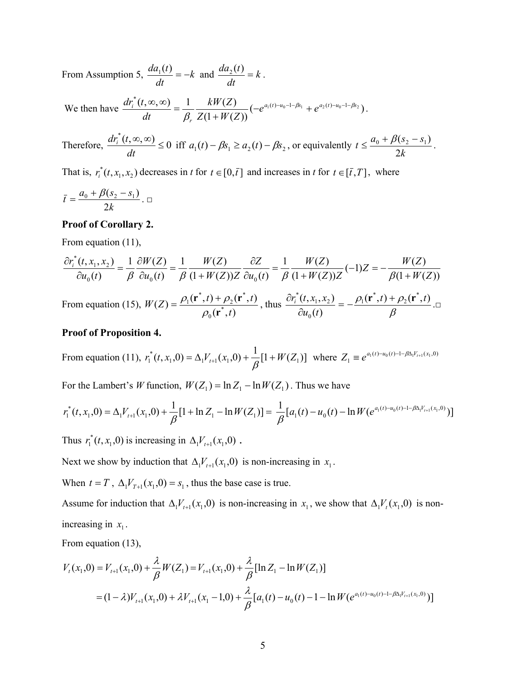From Assumption 5,  $\frac{du_1(t)}{dt} = -k$ *dt*  $\frac{da_1(t)}{dt} = -k$  and  $\frac{da_2(t)}{dt} = k$ *dt*  $\frac{da_2(t)}{t} = k$ .

We then have  $\frac{dr_i^*(t, \infty, \infty)}{dt} = \frac{1}{\beta_r} \frac{kW(Z)}{Z(1+W(Z))} (-e^{a_1(t)-u_0-1-\beta s_1} + e^{a_2(t)-u_0-1-\beta s_2})$ *r*  $\frac{d}{dt} \frac{d}{dt}(t, \infty, \infty) = \frac{1}{2} \frac{RH(L)}{H(L)} \left(-e^{a_1(t) - u_0 - 1 - \beta s_1} + e^{a_2(t) - a_3} \right)$  $Z(1+W/Z)$  $kW(Z)$ *dt*  $dr_i^*(t, \infty, \infty)$  1 kW(Z)  $\int_{t-\alpha_1(t)-u_0-1-\beta s_1} \int_{t-\alpha_2(t)-u_0-1-\beta s_2}$  $\beta$ ,  $\frac{\infty}{t}$ ,  $\infty$ ) =  $\frac{1}{\beta_r}$   $\frac{kW(Z)}{Z(1+W(Z))}$  (- $e^{a_1(t)-u_0-1-\beta s_1}$  +  $e^{a_2(t)-u_0-1-\beta s_2}$ ).

Therefore,  $\frac{dr_i^*(t, \infty, \infty)}{t} \leq 0$  $\frac{dr_i^*(t, \infty, \infty)}{dt} \le 0$  iff  $a_1(t) - \beta s_1 \ge a_2(t) - \beta s_2$ , or equivalently  $t \le \frac{a_0 + \beta(s_2 - s_1)}{2k}$ 2  $\leq \frac{a_0 + \beta(s_2 - s_1)}{2!}$ .

That is,  $r_i^*(t, x_1, x_2)$  decreases in *t* for  $t \in [0, \bar{t}]$  and increases in *t* for  $t \in [\bar{t}, T]$ , where

$$
\bar{t}=\frac{a_0+\beta(s_2-s_1)}{2k}\,.\ \Box
$$

#### **Proof of Corollary 2.**

From equation (11),

$$
\frac{\partial r_i^*(t, x_1, x_2)}{\partial u_0(t)} = \frac{1}{\beta} \frac{\partial W(Z)}{\partial u_0(t)} = \frac{1}{\beta} \frac{W(Z)}{(1 + W(Z))Z} \frac{\partial Z}{\partial u_0(t)} = \frac{1}{\beta} \frac{W(Z)}{(1 + W(Z))Z} (-1)Z = -\frac{W(Z)}{\beta(1 + W(Z))}
$$
  
From equation (15),  $W(Z) = \frac{\rho_1(\mathbf{r}^*, t) + \rho_2(\mathbf{r}^*, t)}{\rho_0(\mathbf{r}^*, t)}$ , thus  $\frac{\partial r_i^*(t, x_1, x_2)}{\partial u_0(t)} = -\frac{\rho_1(\mathbf{r}^*, t) + \rho_2(\mathbf{r}^*, t)}{\beta}$ .

From equation (15),  $W(Z) = \frac{\rho_1(\mathbf{r}^*,t) + \rho_2(\mathbf{r}^*,t)}{\rho_0(\mathbf{r}^*,t)}$ 0 *t* **r**  $=\frac{\rho_1({\bf r}^*,t)+\rho_2({\bf r}^*,t)}{\rho_0({\bf r}^*,t)}$ , thus  $\frac{\partial r_i^*(t,x_1,x_2)}{\partial u_0(t)}=-\frac{\rho_1({\bf r}^*,t)+\rho_2({\bf r}^*,t)}{\beta}$ 

#### **Proof of Proposition 4.**

From equation (11),  $r_1^*(t, x_1, 0) = \Delta_1 V_{t+1}(x_1, 0) + \frac{1}{\beta} [1 + W(Z_1)]$ where  $Z_1 \equiv e^{a_1(t) - u_0(t) - 1 - \beta \Delta_1 V_{t+1}(x_1, 0)}$ 

For the Lambert's *W* function,  $W(Z_1) = \ln Z_1 - \ln W(Z_1)$ . Thus we have

$$
r_1^*(t, x_1, 0) = \Delta_1 V_{t+1}(x_1, 0) + \frac{1}{\beta} [1 + \ln Z_1 - \ln W(Z_1)] = \frac{1}{\beta} [a_1(t) - u_0(t) - \ln W(e^{a_1(t) - u_0(t) - 1 - \beta \Delta_1 V_{t+1}(x_1, 0)})]
$$

Thus  $r_1^*(t, x_1, 0)$  is increasing in  $\Delta_1 V_{t+1}(x_1, 0)$ .

Next we show by induction that  $\Delta_1 V_{t+1}(x_1, 0)$  is non-increasing in  $x_1$ .

When  $t = T$ ,  $\Delta_1 V_{T+1}(x_1, 0) = s_1$ , thus the base case is true.

Assume for induction that  $\Delta_1 V_{t+1}(x_1, 0)$  is non-increasing in  $x_1$ , we show that  $\Delta_1 V_t(x_1, 0)$  is nonincreasing in  $x_1$ .

From equation (13),

$$
V_{t}(x_{1},0) = V_{t+1}(x_{1},0) + \frac{\lambda}{\beta}W(Z_{1}) = V_{t+1}(x_{1},0) + \frac{\lambda}{\beta}[\ln Z_{1} - \ln W(Z_{1})]
$$
  
=  $(1 - \lambda)V_{t+1}(x_{1},0) + \lambda V_{t+1}(x_{1} - 1,0) + \frac{\lambda}{\beta}[a_{1}(t) - u_{0}(t) - 1 - \ln W(e^{a_{1}(t) - u_{0}(t) - 1 - \beta \Delta_{1}V_{t+1}(x_{1},0)})]$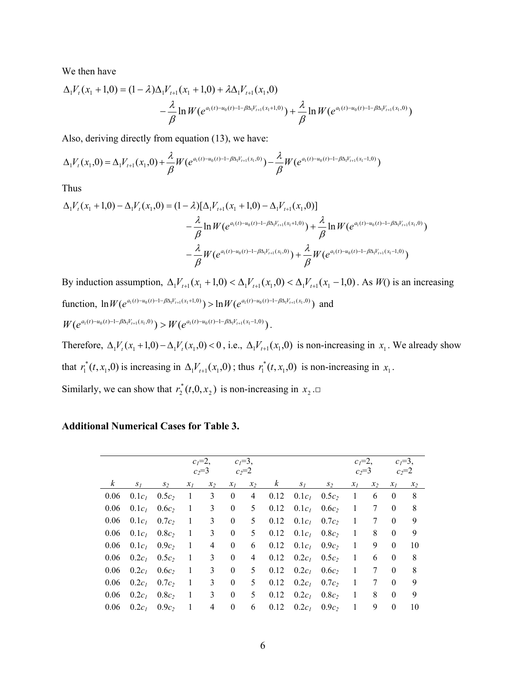We then have

$$
\Delta_1 V_t(x_1 + 1,0) = (1 - \lambda)\Delta_1 V_{t+1}(x_1 + 1,0) + \lambda \Delta_1 V_{t+1}(x_1,0) \n- \frac{\lambda}{\beta} \ln W(e^{a_1(t) - u_0(t) - 1 - \beta \Delta_1 V_{t+1}(x_1 + 1,0)}) + \frac{\lambda}{\beta} \ln W(e^{a_1(t) - u_0(t) - 1 - \beta \Delta_1 V_{t+1}(x_1,0)})
$$

Also, deriving directly from equation (13), we have:

$$
\Delta_1 V_t(x_1,0) = \Delta_1 V_{t+1}(x_1,0) + \frac{\lambda}{\beta} W(e^{a_1(t) - u_0(t) - 1 - \beta \Delta_1 V_{t+1}(x_1,0)}) - \frac{\lambda}{\beta} W(e^{a_1(t) - u_0(t) - 1 - \beta \Delta_1 V_{t+1}(x_1 - 1,0)})
$$

Thus

$$
\Delta_{1}V_{t}(x_{1}+1,0)-\Delta_{1}V_{t}(x_{1},0)=(1-\lambda)[\Delta_{1}V_{t+1}(x_{1}+1,0)-\Delta_{1}V_{t+1}(x_{1},0)]
$$
  

$$
-\frac{\lambda}{\beta}\ln W(e^{a_{1}(t)-u_{0}(t)-1-\beta\Delta_{1}V_{t+1}(x_{1}+1,0)})+\frac{\lambda}{\beta}\ln W(e^{a_{1}(t)-u_{0}(t)-1-\beta\Delta_{1}V_{t+1}(x_{1},0)})
$$
  

$$
-\frac{\lambda}{\beta}W(e^{a_{1}(t)-u_{0}(t)-1-\beta\Delta_{1}V_{t+1}(x_{1},0)})+\frac{\lambda}{\beta}W(e^{a_{1}(t)-u_{0}(t)-1-\beta\Delta_{1}V_{t+1}(x_{1}-1,0)})
$$

By induction assumption,  $\Delta_1 V_{t+1}(x_1 + 1,0) < \Delta_1 V_{t+1}(x_1,0) < \Delta_1 V_{t+1}(x_1 - 1,0)$ . As *W*() is an increasing function,  $\ln W(e^{a_1(t)-a_0(t)-1-\beta \Delta_1 V_{t+1}(x_1+1,0)}) > \ln W(e^{a_1(t)-a_0(t)-1-\beta \Delta_1 V_{t+1}(x_1,0)})$  and  $W(e^{a_1(t)-u_0(t)-1-\beta\Delta_1 V_{t+1}(x_1,0)}) > W(e^{a_1(t)-u_0(t)-1-\beta\Delta_1 V_{t+1}(x_1-1,0)})$ .

Therefore,  $\Delta_1 V_t(x_1 + 1,0) - \Delta_1 V_t(x_1,0) < 0$ , i.e.,  $\Delta_1 V_{t+1}(x_1,0)$  is non-increasing in  $x_1$ . We already show that  $r_1^*(t, x_1, 0)$  is increasing in  $\Delta_1 V_{t+1}(x_1, 0)$ ; thus  $r_1^*(t, x_1, 0)$  is non-increasing in  $x_1$ .

Similarly, we can show that  $r_2^*(t,0,x_2)$  is non-increasing in  $x_2 \square$ 

### **Additional Numerical Cases for Table 3.**

|                  |                   |                   |                | $c_1=2$ ,<br>$c_1 = 3$ , |                  |       |          |          | $c_1=2$ ,         |              | $c_l = 3$ , |              |         |
|------------------|-------------------|-------------------|----------------|--------------------------|------------------|-------|----------|----------|-------------------|--------------|-------------|--------------|---------|
|                  |                   |                   |                | $c_2 = 3$                | $c_2=2$          |       |          |          |                   | $c_2=3$      |             |              | $c_2=2$ |
| $\boldsymbol{k}$ | $S_I$             | $S_2$             | $x_I$          | $x_2$                    | $x_I$            | $x_2$ | $\kappa$ | $S_I$    | $S_2$             | $x_I$        | $x_2$       | $x_I$        | $x_2$   |
| 0.06             | $0.1c_I$          | $0.5c_2$          | $\overline{1}$ | 3                        | $\mathbf{0}$     | 4     | 0.12     |          | $0.1c_1$ $0.5c_2$ | -1           | 6           | $\theta$     | 8       |
| 0.06             | $0.1c_I$          | $0.6c_2$          | -1             | 3                        | $\overline{0}$   | 5     | 0.12     |          | $0.1c_1$ $0.6c_2$ | -1           | 7           | $\theta$     | 8       |
| 0.06             | 0.1c <sub>l</sub> | $0.7c_2$          | $\mathbf{1}$   | 3                        | $\overline{0}$   | 5     | 0.12     |          | $0.1c_1$ $0.7c_2$ | -1           | 7           | $\Omega$     | 9       |
| 0.06             | 0.1c <sub>l</sub> | 0.8c <sub>2</sub> | -1             | 3                        | $\theta$         | 5     | 0.12     |          | $0.1c_1$ $0.8c_2$ | -1           | 8           | $\theta$     | 9       |
| 0.06             | $0.1c_I$          | $0.9c_2$          | -1             | 4                        | $\theta$         | 6     | 0.12     |          | $0.1c_1$ $0.9c_2$ | -1           | 9           | $\Omega$     | 10      |
| 0.06             | 0.2c <sub>I</sub> | $0.5c_2$          | -1             | 3                        | $\theta$         | 4     | 0.12     | $0.2c_I$ | 0.5c <sub>2</sub> | -1           | 6           | $\theta$     | 8       |
| 0.06             | 0.2c <sub>I</sub> | $0.6c_2$          | -1             | 3                        | $\theta$         | 5     | 0.12     |          | $0.2c_1$ $0.6c_2$ | $\mathbf{1}$ | 7           | $\Omega$     | 8       |
| 0.06             | $0.2c_l$          | $0.7c_2$          | -1             | 3                        | $\theta$         | 5     | 0.12     | $0.2c_I$ | 0.7c <sub>2</sub> | 1            | 7           | $\Omega$     | 9       |
| 0.06             | 0.2c <sub>I</sub> | 0.8c <sub>2</sub> | -1             | 3                        | $\theta$         | 5     | 0.12     | $0.2c_I$ | 0.8c <sub>2</sub> | -1           | 8           | $\theta$     | 9       |
| 0.06             | $0.2c_1$          | $0.9c_2$          | -1             | 4                        | $\boldsymbol{0}$ | 6     | 0.12     | $0.2c_I$ | $0.9c_2$          | 1            | 9           | $\mathbf{0}$ | 10      |